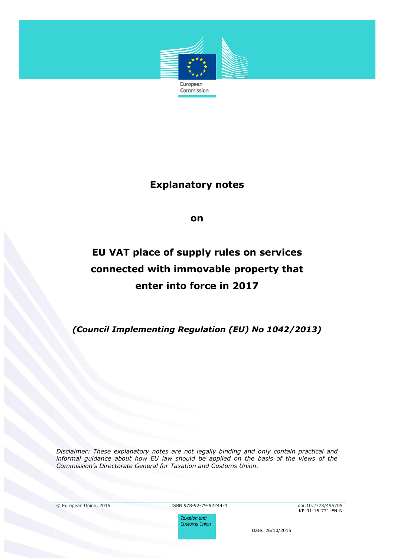

# **Explanatory notes**

**on**

# **EU VAT place of supply rules on services connected with immovable property that enter into force in 2017**

*(Council Implementing Regulation (EU) No 1042/2013)*

*Disclaimer: These explanatory notes are not legally binding and only contain practical and informal guidance about how EU law should be applied on the basis of the views of the Commission's Directorate General for Taxation and Customs Union.*

© European Union, 2015 ISBN 978-92-79-52244-4 doi:10.2778/495705

**Taxation and Customs Union**  KP-01-15-771-EN-N

Date: 26/10/2015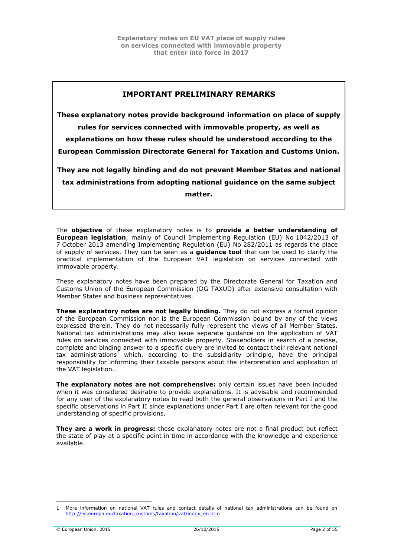# **IMPORTANT PRELIMINARY REMARKS**

**These explanatory notes provide background information on place of supply rules for services connected with immovable property, as well as explanations on how these rules should be understood according to the European Commission Directorate General for Taxation and Customs Union.** 

**They are not legally binding and do not prevent Member States and national tax administrations from adopting national guidance on the same subject matter.**

The **objective** of these explanatory notes is to **provide a better understanding of European legislation**, mainly of Council Implementing Regulation (EU) No 1042/2013 of 7 October 2013 amending Implementing Regulation (EU) No 282/2011 as regards the place of supply of services. They can be seen as a **guidance tool** that can be used to clarify the practical implementation of the European VAT legislation on services connected with immovable property.

These explanatory notes have been prepared by the Directorate General for Taxation and Customs Union of the European Commission (DG TAXUD) after extensive consultation with Member States and business representatives.

**These explanatory notes are not legally binding.** They do not express a formal opinion of the European Commission nor is the European Commission bound by any of the views expressed therein. They do not necessarily fully represent the views of all Member States. National tax administrations may also issue separate guidance on the application of VAT rules on services connected with immovable property. Stakeholders in search of a precise, complete and binding answer to a specific query are invited to contact their relevant national tax administrations<sup>1</sup> which, according to the subsidiarity principle, have the principal responsibility for informing their taxable persons about the interpretation and application of the VAT legislation.

**The explanatory notes are not comprehensive:** only certain issues have been included when it was considered desirable to provide explanations. It is advisable and recommended for any user of the explanatory notes to read both the general observations in Part I and the specific observations in Part II since explanations under Part I are often relevant for the good understanding of specific provisions.

**They are a work in progress:** these explanatory notes are not a final product but reflect the state of play at a specific point in time in accordance with the knowledge and experience available.

<sup>1</sup> More information on national VAT rules and contact details of national tax administrations can be found on [http://ec.europa.eu/taxation\\_customs/taxation/vat/index\\_en.htm](http://ec.europa.eu/taxation_customs/taxation/vat/index_en.htm)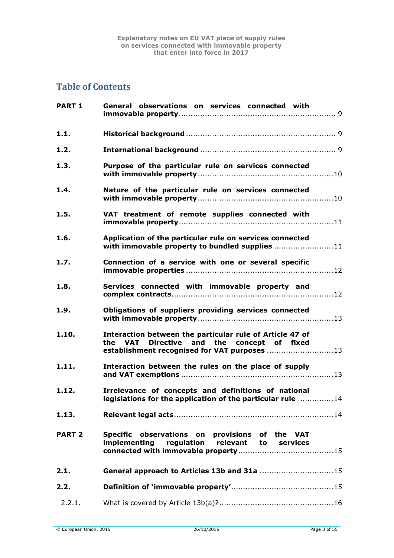# **Table of Contents**

| <b>PART 1</b> | General observations on services connected with                                                                                                        |
|---------------|--------------------------------------------------------------------------------------------------------------------------------------------------------|
| 1.1.          |                                                                                                                                                        |
| 1.2.          |                                                                                                                                                        |
| 1.3.          | Purpose of the particular rule on services connected                                                                                                   |
| 1.4.          | Nature of the particular rule on services connected                                                                                                    |
| 1.5.          | VAT treatment of remote supplies connected with                                                                                                        |
| 1.6.          | Application of the particular rule on services connected<br>with immovable property to bundled supplies 11                                             |
| 1.7.          | Connection of a service with one or several specific                                                                                                   |
| 1.8.          | Services connected with immovable property and                                                                                                         |
| 1.9.          | Obligations of suppliers providing services connected                                                                                                  |
| 1.10.         | Interaction between the particular rule of Article 47 of<br>the VAT Directive and the concept of fixed<br>establishment recognised for VAT purposes 13 |
| 1.11.         | Interaction between the rules on the place of supply                                                                                                   |
| 1.12.         | Irrelevance of concepts and definitions of national<br>legislations for the application of the particular rule 14                                      |
| 1.13.         |                                                                                                                                                        |
| <b>PART 2</b> | Specific observations on provisions of the VAT<br>implementing regulation relevant to services                                                         |
| 2.1.          | General approach to Articles 13b and 31a 15                                                                                                            |
| 2.2.          |                                                                                                                                                        |
| 2.2.1.        |                                                                                                                                                        |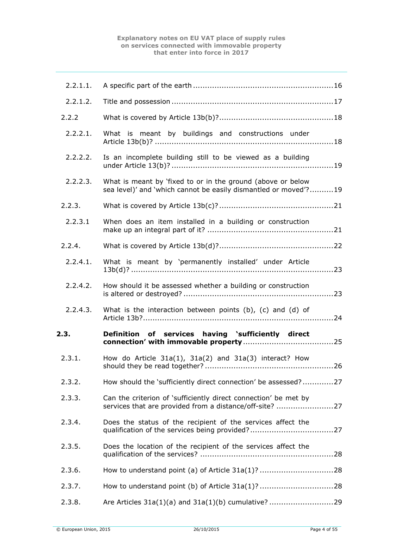| 2.2.1.1. |                                                                                                                                |
|----------|--------------------------------------------------------------------------------------------------------------------------------|
| 2.2.1.2. |                                                                                                                                |
| 2.2.2    |                                                                                                                                |
| 2.2.2.1. | What is meant by buildings and constructions under                                                                             |
| 2.2.2.2. | Is an incomplete building still to be viewed as a building                                                                     |
| 2.2.2.3. | What is meant by 'fixed to or in the ground (above or below<br>sea level)' and 'which cannot be easily dismantled or moved'?19 |
| 2.2.3.   |                                                                                                                                |
| 2.2.3.1  | When does an item installed in a building or construction                                                                      |
| 2.2.4.   |                                                                                                                                |
| 2.2.4.1. | What is meant by 'permanently installed' under Article                                                                         |
| 2.2.4.2. | How should it be assessed whether a building or construction                                                                   |
|          |                                                                                                                                |
| 2.2.4.3. | What is the interaction between points $(b)$ , $(c)$ and $(d)$ of                                                              |
| 2.3.     | Definition of services having 'sufficiently direct                                                                             |
| 2.3.1.   | How do Article $31a(1)$ , $31a(2)$ and $31a(3)$ interact? How                                                                  |
| 2.3.2.   | How should the 'sufficiently direct connection' be assessed?27                                                                 |
| 2.3.3.   | Can the criterion of 'sufficiently direct connection' be met by<br>services that are provided from a distance/off-site? 27     |
| 2.3.4.   | Does the status of the recipient of the services affect the                                                                    |
| 2.3.5.   | Does the location of the recipient of the services affect the                                                                  |
| 2.3.6.   |                                                                                                                                |
| 2.3.7.   |                                                                                                                                |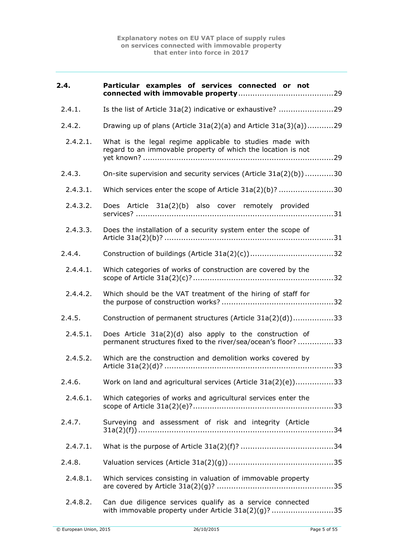| 2.4.     | Particular examples of services connected or not                                                                          |
|----------|---------------------------------------------------------------------------------------------------------------------------|
| 2.4.1.   | Is the list of Article 31a(2) indicative or exhaustive? 29                                                                |
| 2.4.2.   | Drawing up of plans (Article 31a(2)(a) and Article 31a(3)(a))29                                                           |
| 2.4.2.1. | What is the legal regime applicable to studies made with<br>regard to an immovable property of which the location is not  |
| 2.4.3.   | On-site supervision and security services (Article 31a(2)(b))30                                                           |
| 2.4.3.1. | Which services enter the scope of Article 31a(2)(b)? 30                                                                   |
| 2.4.3.2. | Does Article 31a(2)(b) also cover remotely provided                                                                       |
| 2.4.3.3. | Does the installation of a security system enter the scope of                                                             |
| 2.4.4.   |                                                                                                                           |
| 2.4.4.1. | Which categories of works of construction are covered by the                                                              |
| 2.4.4.2. | Which should be the VAT treatment of the hiring of staff for                                                              |
| 2.4.5.   | Construction of permanent structures (Article 31a(2)(d))33                                                                |
| 2.4.5.1. | Does Article 31a(2)(d) also apply to the construction of<br>permanent structures fixed to the river/sea/ocean's floor? 33 |
| 2.4.5.2. | Which are the construction and demolition works covered by                                                                |
| 2.4.6.   | Work on land and agricultural services (Article 31a(2)(e))33                                                              |
| 2.4.6.1. | Which categories of works and agricultural services enter the                                                             |
| 2.4.7.   | Surveying and assessment of risk and integrity (Article                                                                   |
| 2.4.7.1. |                                                                                                                           |
| 2.4.8.   |                                                                                                                           |
| 2.4.8.1. | Which services consisting in valuation of immovable property                                                              |
| 2.4.8.2. | Can due diligence services qualify as a service connected<br>with immovable property under Article 31a(2)(g)? 35          |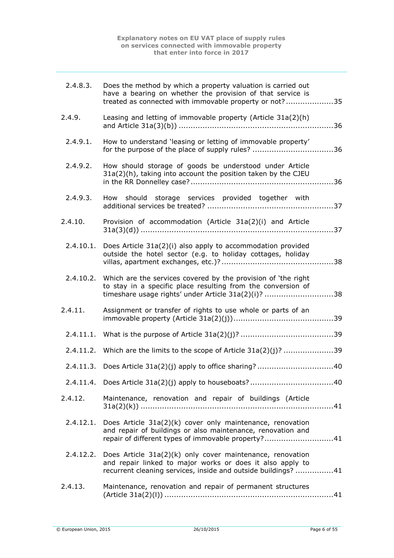| 2.4.8.3.  | Does the method by which a property valuation is carried out<br>have a bearing on whether the provision of that service is<br>treated as connected with immovable property or not?35                |
|-----------|-----------------------------------------------------------------------------------------------------------------------------------------------------------------------------------------------------|
| 2.4.9.    | Leasing and letting of immovable property (Article 31a(2)(h)                                                                                                                                        |
| 2.4.9.1.  | How to understand 'leasing or letting of immovable property'<br>for the purpose of the place of supply rules? 36                                                                                    |
| 2.4.9.2.  | How should storage of goods be understood under Article<br>31a(2)(h), taking into account the position taken by the CJEU                                                                            |
| 2.4.9.3.  | How should storage services provided together with                                                                                                                                                  |
| 2.4.10.   | Provision of accommodation (Article 31a(2)(i) and Article                                                                                                                                           |
| 2.4.10.1. | Does Article 31a(2)(i) also apply to accommodation provided<br>outside the hotel sector (e.g. to holiday cottages, holiday                                                                          |
|           | 2.4.10.2. Which are the services covered by the provision of 'the right<br>to stay in a specific place resulting from the conversion of<br>timeshare usage rights' under Article 31a(2)(i)? 38      |
| 2.4.11.   | Assignment or transfer of rights to use whole or parts of an                                                                                                                                        |
|           |                                                                                                                                                                                                     |
|           | 2.4.11.2. Which are the limits to the scope of Article 31a(2)(j)? 39                                                                                                                                |
|           |                                                                                                                                                                                                     |
|           |                                                                                                                                                                                                     |
| 2.4.12.   | Maintenance, renovation and repair of buildings (Article                                                                                                                                            |
|           | 2.4.12.1. Does Article $31a(2)(k)$ cover only maintenance, renovation<br>and repair of buildings or also maintenance, renovation and<br>repair of different types of immovable property?41          |
|           | 2.4.12.2. Does Article $31a(2)(k)$ only cover maintenance, renovation<br>and repair linked to major works or does it also apply to<br>recurrent cleaning services, inside and outside buildings? 41 |
| 2.4.13.   | Maintenance, renovation and repair of permanent structures                                                                                                                                          |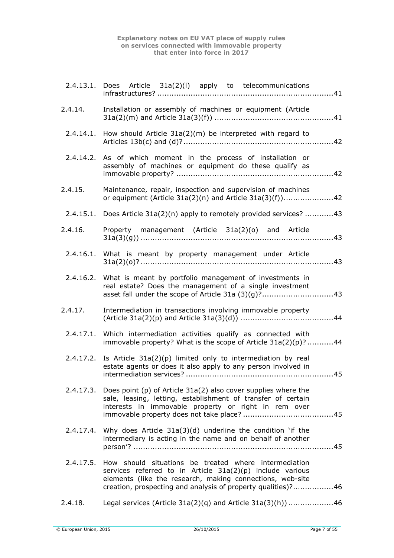|         | 2.4.13.1. Does Article 31a(2)(I) apply to telecommunications                                                                                                                                                                                              |
|---------|-----------------------------------------------------------------------------------------------------------------------------------------------------------------------------------------------------------------------------------------------------------|
| 2.4.14. | Installation or assembly of machines or equipment (Article                                                                                                                                                                                                |
|         | 2.4.14.1. How should Article 31a(2)(m) be interpreted with regard to                                                                                                                                                                                      |
|         | 2.4.14.2. As of which moment in the process of installation or<br>assembly of machines or equipment do these qualify as                                                                                                                                   |
| 2.4.15. | Maintenance, repair, inspection and supervision of machines<br>or equipment (Article 31a(2)(n) and Article 31a(3)(f))42                                                                                                                                   |
|         | 2.4.15.1. Does Article 31a(2)(n) apply to remotely provided services? 43                                                                                                                                                                                  |
| 2.4.16. | Property management (Article 31a(2)(o) and Article                                                                                                                                                                                                        |
|         | 2.4.16.1. What is meant by property management under Article                                                                                                                                                                                              |
|         | 2.4.16.2. What is meant by portfolio management of investments in<br>real estate? Does the management of a single investment<br>asset fall under the scope of Article 31a (3)(g)?43                                                                       |
| 2.4.17. | Intermediation in transactions involving immovable property                                                                                                                                                                                               |
|         | 2.4.17.1. Which intermediation activities qualify as connected with<br>immovable property? What is the scope of Article 31a(2)(p)? 44                                                                                                                     |
|         | 2.4.17.2. Is Article $31a(2)(p)$ limited only to intermediation by real<br>estate agents or does it also apply to any person involved in                                                                                                                  |
|         | 2.4.17.3. Does point (p) of Article 31a(2) also cover supplies where the<br>sale, leasing, letting, establishment of transfer of certain<br>interests in immovable property or right in rem over                                                          |
|         | 2.4.17.4. Why does Article $31a(3)(d)$ underline the condition 'if the<br>intermediary is acting in the name and on behalf of another                                                                                                                     |
|         | 2.4.17.5. How should situations be treated where intermediation<br>services referred to in Article 31a(2)(p) include various<br>elements (like the research, making connections, web-site<br>creation, prospecting and analysis of property qualities)?46 |
| 2.4.18. | Legal services (Article $31a(2)(q)$ and Article $31a(3)(h)$ ) 46                                                                                                                                                                                          |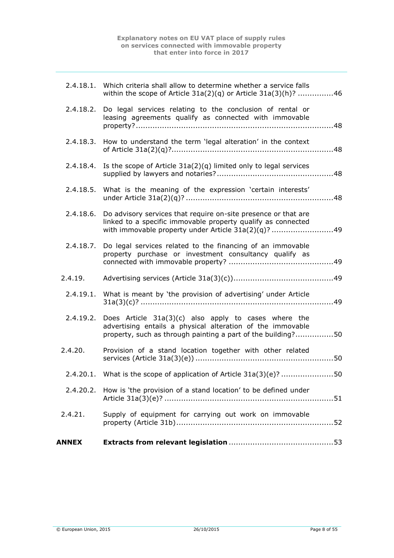|           | 2.4.20.2. How is 'the provision of a stand location' to be defined under                                                                                                                       |
|-----------|------------------------------------------------------------------------------------------------------------------------------------------------------------------------------------------------|
|           | 2.4.20.1. What is the scope of application of Article $31a(3)(e)$ ? 50                                                                                                                         |
| 2.4.20.   | Provision of a stand location together with other related                                                                                                                                      |
|           | 2.4.19.2. Does Article $31a(3)(c)$ also apply to cases where the<br>advertising entails a physical alteration of the immovable<br>property, such as through painting a part of the building?50 |
| 2.4.19.1. | What is meant by 'the provision of advertising' under Article                                                                                                                                  |
| 2.4.19.   |                                                                                                                                                                                                |
| 2.4.18.7. | Do legal services related to the financing of an immovable<br>property purchase or investment consultancy qualify as                                                                           |
| 2.4.18.6. | Do advisory services that require on-site presence or that are<br>linked to a specific immovable property qualify as connected<br>with immovable property under Article $31a(2)(q)$ ? 49       |
| 2.4.18.5. | What is the meaning of the expression 'certain interests'                                                                                                                                      |
| 2.4.18.4. | Is the scope of Article $31a(2)(q)$ limited only to legal services                                                                                                                             |
| 2.4.18.3. | How to understand the term 'legal alteration' in the context                                                                                                                                   |
|           | 2.4.18.2. Do legal services relating to the conclusion of rental or<br>leasing agreements qualify as connected with immovable                                                                  |
|           | 2.4.18.1. Which criteria shall allow to determine whether a service falls<br>within the scope of Article $31a(2)(q)$ or Article $31a(3)(h)$ ? 46                                               |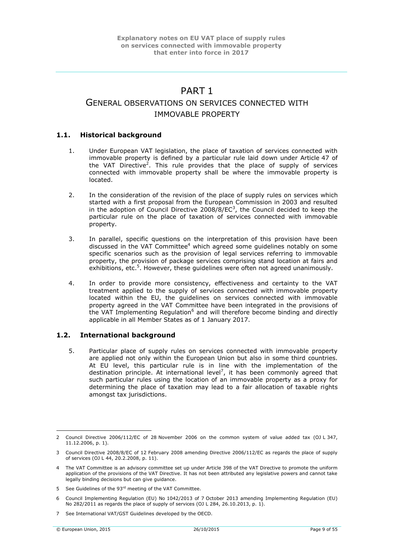# PART 1

# <span id="page-8-0"></span>GENERAL OBSERVATIONS ON SERVICES CONNECTED WITH IMMOVABLE PROPERTY

# <span id="page-8-1"></span>**1.1. Historical background**

- 1. Under European VAT legislation, the place of taxation of services connected with immovable property is defined by a particular rule laid down under Article 47 of the VAT Directive<sup>2</sup>. This rule provides that the place of supply of services connected with immovable property shall be where the immovable property is located.
- 2. In the consideration of the revision of the place of supply rules on services which started with a first proposal from the European Commission in 2003 and resulted in the adoption of Council Directive 2008/8/EC<sup>3</sup>, the Council decided to keep the particular rule on the place of taxation of services connected with immovable property.
- 3. In parallel, specific questions on the interpretation of this provision have been discussed in the VAT Committee<sup>4</sup> which agreed some guidelines notably on some specific scenarios such as the provision of legal services referring to immovable property, the provision of package services comprising stand location at fairs and exhibitions, etc.<sup>5</sup>. However, these guidelines were often not agreed unanimously.
- 4. In order to provide more consistency, effectiveness and certainty to the VAT treatment applied to the supply of services connected with immovable property located within the EU, the guidelines on services connected with immovable property agreed in the VAT Committee have been integrated in the provisions of the VAT Implementing Regulation<sup>6</sup> and will therefore become binding and directly applicable in all Member States as of 1 January 2017.

# <span id="page-8-2"></span>**1.2. International background**

5. Particular place of supply rules on services connected with immovable property are applied not only within the European Union but also in some third countries. At EU level, this particular rule is in line with the implementation of the destination principle. At international level<sup>7</sup>, it has been commonly agreed that such particular rules using the location of an immovable property as a proxy for determining the place of taxation may lead to a fair allocation of taxable rights amongst tax jurisdictions.

<sup>2</sup> Council Directive 2006/112/EC of 28 November 2006 on the common system of value added tax (OJ L 347, 11.12.2006, p. 1).

<sup>3</sup> Council Directive 2008/8/EC of 12 February 2008 amending Directive 2006/112/EC as regards the place of supply of services (OJ L 44, 20.2.2008, p. 11).

<sup>4</sup> The VAT Committee is an advisory committee set up under Article 398 of the VAT Directive to promote the uniform application of the provisions of the VAT Directive. It has not been attributed any legislative powers and cannot take legally binding decisions but can give guidance.

<sup>5</sup> See Guidelines of the 93<sup>rd</sup> meeting of the VAT Committee.

<sup>6</sup> Council Implementing Regulation (EU) No 1042/2013 of 7 October 2013 amending Implementing Regulation (EU) No 282/2011 as regards the place of supply of services (OJ L 284, 26.10.2013, p. 1).

<sup>7</sup> See International VAT/GST Guidelines developed by the OECD.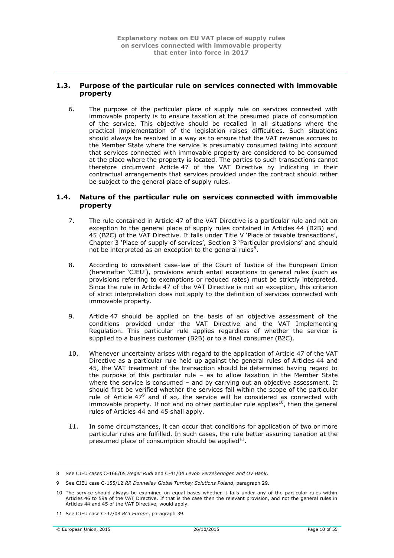# <span id="page-9-0"></span>**1.3. Purpose of the particular rule on services connected with immovable property**

6. The purpose of the particular place of supply rule on services connected with immovable property is to ensure taxation at the presumed place of consumption of the service. This objective should be recalled in all situations where the practical implementation of the legislation raises difficulties. Such situations should always be resolved in a way as to ensure that the VAT revenue accrues to the Member State where the service is presumably consumed taking into account that services connected with immovable property are considered to be consumed at the place where the property is located. The parties to such transactions cannot therefore circumvent Article 47 of the VAT Directive by indicating in their contractual arrangements that services provided under the contract should rather be subject to the general place of supply rules.

## <span id="page-9-1"></span>**1.4. Nature of the particular rule on services connected with immovable property**

- 7. The rule contained in Article 47 of the VAT Directive is a particular rule and not an exception to the general place of supply rules contained in Articles 44 (B2B) and 45 (B2C) of the VAT Directive. It falls under Title V 'Place of taxable transactions', Chapter 3 'Place of supply of services', Section 3 'Particular provisions' and should not be interpreted as an exception to the general rules $8$ .
- 8. According to consistent case-law of the Court of Justice of the European Union (hereinafter 'CJEU'), provisions which entail exceptions to general rules (such as provisions referring to exemptions or reduced rates) must be strictly interpreted. Since the rule in Article 47 of the VAT Directive is not an exception, this criterion of strict interpretation does not apply to the definition of services connected with immovable property.
- 9. Article 47 should be applied on the basis of an objective assessment of the conditions provided under the VAT Directive and the VAT Implementing Regulation. This particular rule applies regardless of whether the service is supplied to a business customer (B2B) or to a final consumer (B2C).
- 10. Whenever uncertainty arises with regard to the application of Article 47 of the VAT Directive as a particular rule held up against the general rules of Articles 44 and 45, the VAT treatment of the transaction should be determined having regard to the purpose of this particular rule – as to allow taxation in the Member State where the service is consumed – and by carrying out an objective assessment. It should first be verified whether the services fall within the scope of the particular rule of Article  $47^9$  and if so, the service will be considered as connected with immovable property. If not and no other particular rule applies<sup>10</sup>, then the general rules of Articles 44 and 45 shall apply.
- 11. In some circumstances, it can occur that conditions for application of two or more particular rules are fulfilled. In such cases, the rule better assuring taxation at the presumed place of consumption should be applied $^{11}$ .

<u>.</u>

<sup>8</sup> See CJEU cases C-166/05 *Heger Rudi* and C-41/04 *Levob Verzekeringen and OV Bank*.

<sup>9</sup> See CJEU case C-155/12 *RR Donnelley Global Turnkey Solutions Poland*, paragraph 29.

<sup>10</sup> The service should always be examined on equal bases whether it falls under any of the particular rules within Articles 46 to 59a of the VAT Directive. If that is the case then the relevant provision, and not the general rules in Articles 44 and 45 of the VAT Directive, would apply.

<sup>11</sup> See CJEU case C-37/08 *RCI Europe*, paragraph 39.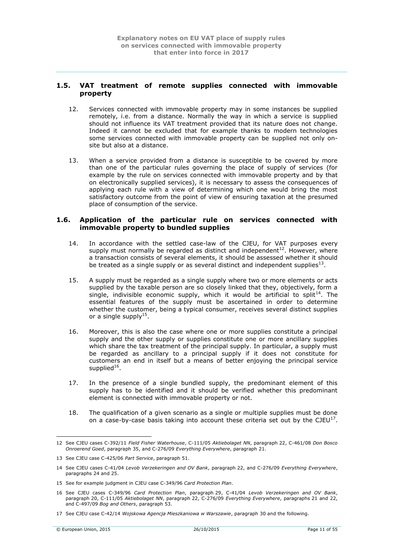# <span id="page-10-0"></span>**1.5. VAT treatment of remote supplies connected with immovable property**

- 12. Services connected with immovable property may in some instances be supplied remotely, i.e. from a distance. Normally the way in which a service is supplied should not influence its VAT treatment provided that its nature does not change. Indeed it cannot be excluded that for example thanks to modern technologies some services connected with immovable property can be supplied not only onsite but also at a distance.
- 13. When a service provided from a distance is susceptible to be covered by more than one of the particular rules governing the place of supply of services (for example by the rule on services connected with immovable property and by that on electronically supplied services), it is necessary to assess the consequences of applying each rule with a view of determining which one would bring the most satisfactory outcome from the point of view of ensuring taxation at the presumed place of consumption of the service.

## <span id="page-10-1"></span>**1.6. Application of the particular rule on services connected with immovable property to bundled supplies**

- 14. In accordance with the settled case-law of the CJEU, for VAT purposes every supply must normally be regarded as distinct and independent<sup>12</sup>. However, where a transaction consists of several elements, it should be assessed whether it should be treated as a single supply or as several distinct and independent supplies<sup>13</sup>.
- 15. A supply must be regarded as a single supply where two or more elements or acts supplied by the taxable person are so closely linked that they, objectively, form a single, indivisible economic supply, which it would be artificial to split<sup>14</sup>. The essential features of the supply must be ascertained in order to determine whether the customer, being a typical consumer, receives several distinct supplies or a single supply<sup>15</sup>.
- 16. Moreover, this is also the case where one or more supplies constitute a principal supply and the other supply or supplies constitute one or more ancillary supplies which share the tax treatment of the principal supply. In particular, a supply must be regarded as ancillary to a principal supply if it does not constitute for customers an end in itself but a means of better enjoying the principal service supplied $^{16}$ .
- 17. In the presence of a single bundled supply, the predominant element of this supply has to be identified and it should be verified whether this predominant element is connected with immovable property or not.
- 18. The qualification of a given scenario as a single or multiple supplies must be done on a case-by-case basis taking into account these criteria set out by the CJEU $^{17}$ .

<sup>1</sup> 12 See CJEU cases C-392/11 *Field Fisher Waterhouse*, C-111/05 *Aktiebolaget NN*, paragraph 22, C-461/08 *Don Bosco Onroerend Goed*, paragraph 35, and C-276/09 *Everything Everywhere*, paragraph 21.

<sup>13</sup> See CJEU case C-425/06 *Part Service*, paragraph 51.

<sup>14</sup> See CJEU cases C-41/04 *Levob Verzekeringen and OV Bank*, paragraph 22, and C-276/09 *Everything Everywhere*, paragraphs 24 and 25.

<sup>15</sup> See for example judgment in CJEU case C-349/96 *Card Protection Plan*.

<sup>16</sup> See CJEU cases C-349/96 *Card Protection Plan*, paragraph 29, C-41/04 *Levob Verzekeringen and OV Bank*, paragraph 20, C-111/05 *Aktiebolaget NN*, paragraph 22, C-276/09 *Everything Everywhere*, paragraphs 21 and 22, and C-497/09 *Bog and Others*, paragraph 53.

<sup>17</sup> See CJEU case C-42/14 *Wojskowa Agencja Mieszkaniowa w Warszawie*, paragraph 30 and the following.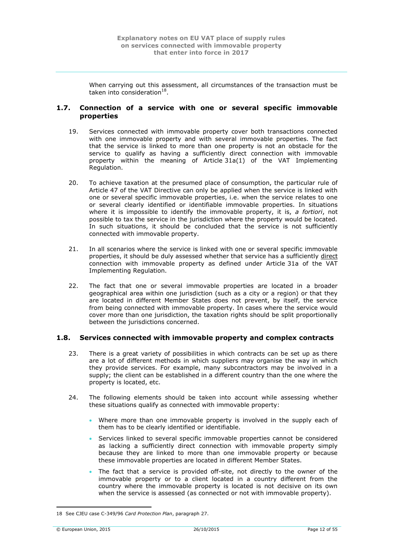When carrying out this assessment, all circumstances of the transaction must be taken into consideration $^{18}$ .

# <span id="page-11-0"></span>**1.7. Connection of a service with one or several specific immovable properties**

- 19. Services connected with immovable property cover both transactions connected with one immovable property and with several immovable properties. The fact that the service is linked to more than one property is not an obstacle for the service to qualify as having a sufficiently direct connection with immovable property within the meaning of Article 31a(1) of the VAT Implementing Regulation.
- 20. To achieve taxation at the presumed place of consumption, the particular rule of Article 47 of the VAT Directive can only be applied when the service is linked with one or several specific immovable properties, i.e. when the service relates to one or several clearly identified or identifiable immovable properties. In situations where it is impossible to identify the immovable property, it is, *a fortiori*, not possible to tax the service in the jurisdiction where the property would be located. In such situations, it should be concluded that the service is not sufficiently connected with immovable property.
- 21. In all scenarios where the service is linked with one or several specific immovable properties, it should be duly assessed whether that service has a sufficiently direct connection with immovable property as defined under Article 31a of the VAT Implementing Regulation.
- 22. The fact that one or several immovable properties are located in a broader geographical area within one jurisdiction (such as a city or a region) or that they are located in different Member States does not prevent, by itself, the service from being connected with immovable property. In cases where the service would cover more than one jurisdiction, the taxation rights should be split proportionally between the jurisdictions concerned.

# <span id="page-11-1"></span>**1.8. Services connected with immovable property and complex contracts**

- 23. There is a great variety of possibilities in which contracts can be set up as there are a lot of different methods in which suppliers may organise the way in which they provide services. For example, many subcontractors may be involved in a supply; the client can be established in a different country than the one where the property is located, etc.
- 24. The following elements should be taken into account while assessing whether these situations qualify as connected with immovable property:
	- Where more than one immovable property is involved in the supply each of them has to be clearly identified or identifiable.
	- Services linked to several specific immovable properties cannot be considered as lacking a sufficiently direct connection with immovable property simply because they are linked to more than one immovable property or because these immovable properties are located in different Member States.
	- The fact that a service is provided off-site, not directly to the owner of the immovable property or to a client located in a country different from the country where the immovable property is located is not decisive on its own when the service is assessed (as connected or not with immovable property).

<sup>1</sup> 18 See CJEU case C-349/96 *Card Protection Plan*, paragraph 27.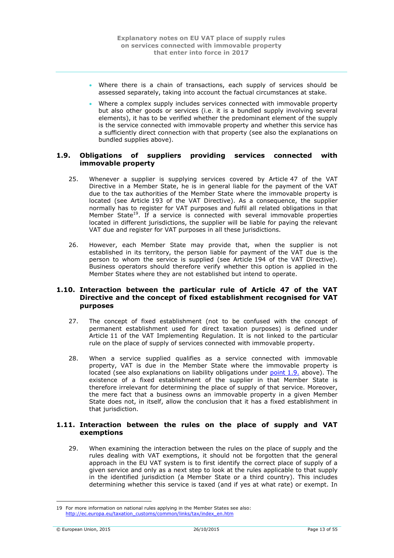- Where there is a chain of transactions, each supply of services should be assessed separately, taking into account the factual circumstances at stake.
- Where a complex supply includes services connected with immovable property but also other goods or services (i.e. it is a bundled supply involving several elements), it has to be verified whether the predominant element of the supply is the service connected with immovable property and whether this service has a sufficiently direct connection with that property (see also the explanations on bundled supplies above).

# <span id="page-12-0"></span>**1.9. Obligations of suppliers providing services connected with immovable property**

- 25. Whenever a supplier is supplying services covered by Article 47 of the VAT Directive in a Member State, he is in general liable for the payment of the VAT due to the tax authorities of the Member State where the immovable property is located (see Article 193 of the VAT Directive). As a consequence, the supplier normally has to register for VAT purposes and fulfil all related obligations in that Member State<sup>19</sup>. If a service is connected with several immovable properties located in different jurisdictions, the supplier will be liable for paying the relevant VAT due and register for VAT purposes in all these jurisdictions.
- 26. However, each Member State may provide that, when the supplier is not established in its territory, the person liable for payment of the VAT due is the person to whom the service is supplied (see Article 194 of the VAT Directive). Business operators should therefore verify whether this option is applied in the Member States where they are not established but intend to operate.

# <span id="page-12-1"></span>**1.10. Interaction between the particular rule of Article 47 of the VAT Directive and the concept of fixed establishment recognised for VAT purposes**

- 27. The concept of fixed establishment (not to be confused with the concept of permanent establishment used for direct taxation purposes) is defined under Article 11 of the VAT Implementing Regulation. It is not linked to the particular rule on the place of supply of services connected with immovable property.
- 28. When a service supplied qualifies as a service connected with immovable property, VAT is due in the Member State where the immovable property is located (see also explanations on liability obligations under [point](#page-12-0) 1.9. above). The existence of a fixed establishment of the supplier in that Member State is therefore irrelevant for determining the place of supply of that service. Moreover, the mere fact that a business owns an immovable property in a given Member State does not, in itself, allow the conclusion that it has a fixed establishment in that jurisdiction.

# <span id="page-12-2"></span>**1.11. Interaction between the rules on the place of supply and VAT exemptions**

29. When examining the interaction between the rules on the place of supply and the rules dealing with VAT exemptions, it should not be forgotten that the general approach in the EU VAT system is to first identify the correct place of supply of a given service and only as a next step to look at the rules applicable to that supply in the identified jurisdiction (a Member State or a third country). This includes determining whether this service is taxed (and if yes at what rate) or exempt. In

<sup>19</sup> For more information on national rules applying in the Member States see also: [http://ec.europa.eu/taxation\\_customs/common/links/tax/index\\_en.htm](http://ec.europa.eu/taxation_customs/common/links/tax/index_en.htm)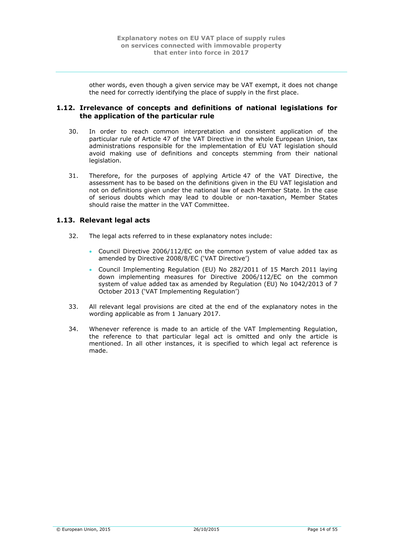other words, even though a given service may be VAT exempt, it does not change the need for correctly identifying the place of supply in the first place.

# <span id="page-13-0"></span>**1.12. Irrelevance of concepts and definitions of national legislations for the application of the particular rule**

- 30. In order to reach common interpretation and consistent application of the particular rule of Article 47 of the VAT Directive in the whole European Union, tax administrations responsible for the implementation of EU VAT legislation should avoid making use of definitions and concepts stemming from their national legislation.
- 31. Therefore, for the purposes of applying Article 47 of the VAT Directive, the assessment has to be based on the definitions given in the EU VAT legislation and not on definitions given under the national law of each Member State. In the case of serious doubts which may lead to double or non-taxation, Member States should raise the matter in the VAT Committee.

# <span id="page-13-1"></span>**1.13. Relevant legal acts**

- 32. The legal acts referred to in these explanatory notes include:
	- Council Directive 2006/112/EC on the common system of value added tax as amended by Directive 2008/8/EC ('VAT Directive')
	- Council Implementing Regulation (EU) No 282/2011 of 15 March 2011 laying down implementing measures for Directive 2006/112/EC on the common system of value added tax as amended by Regulation (EU) No 1042/2013 of 7 October 2013 ('VAT Implementing Regulation')
- 33. All relevant legal provisions are cited at the end of the explanatory notes in the wording applicable as from 1 January 2017.
- 34. Whenever reference is made to an article of the VAT Implementing Regulation, the reference to that particular legal act is omitted and only the article is mentioned. In all other instances, it is specified to which legal act reference is made.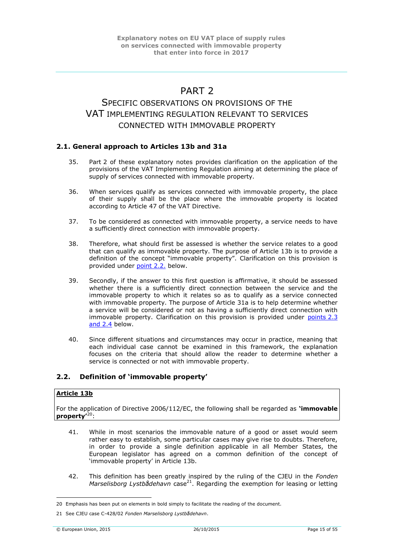# PART<sub>2</sub>

# <span id="page-14-0"></span>SPECIFIC OBSERVATIONS ON PROVISIONS OF THE VAT IMPI FMENTING REGULATION RELEVANT TO SERVICES CONNECTED WITH IMMOVABLE PROPERTY

# <span id="page-14-1"></span>**2.1. General approach to Articles 13b and 31a**

- 35. Part 2 of these explanatory notes provides clarification on the application of the provisions of the VAT Implementing Regulation aiming at determining the place of supply of services connected with immovable property.
- 36. When services qualify as services connected with immovable property, the place of their supply shall be the place where the immovable property is located according to Article 47 of the VAT Directive.
- 37. To be considered as connected with immovable property, a service needs to have a sufficiently direct connection with immovable property.
- 38. Therefore, what should first be assessed is whether the service relates to a good that can qualify as immovable property. The purpose of Article 13b is to provide a definition of the concept "immovable property". Clarification on this provision is provided under [point](#page-14-2) 2.2. below.
- 39. Secondly, if the answer to this first question is affirmative, it should be assessed whether there is a sufficiently direct connection between the service and the immovable property to which it relates so as to qualify as a service connected with immovable property. The purpose of Article 31a is to help determine whether a service will be considered or not as having a sufficiently direct connection with immovable property. Clarification on this provision is provided under [points](#page-24-0) 2.3 [and 2.4](#page-28-1) below.
- 40. Since different situations and circumstances may occur in practice, meaning that each individual case cannot be examined in this framework, the explanation focuses on the criteria that should allow the reader to determine whether a service is connected or not with immovable property.

# <span id="page-14-2"></span>**2.2. Definition of 'immovable property'**

# **Article 13b**

For the application of Directive 2006/112/EC, the following shall be regarded as **'immovable property'**<sup>20</sup>:

- 41. While in most scenarios the immovable nature of a good or asset would seem rather easy to establish, some particular cases may give rise to doubts. Therefore, in order to provide a single definition applicable in all Member States, the European legislator has agreed on a common definition of the concept of 'immovable property' in Article 13b.
- 42. This definition has been greatly inspired by the ruling of the CJEU in the *Fonden Marselisborg Lystbådehavn* case<sup>21</sup>. Regarding the exemption for leasing or letting

<sup>20</sup> Emphasis has been put on elements in bold simply to facilitate the reading of the document.

<sup>21</sup> See CJEU case C-428/02 *Fonden Marselisborg Lystbådehavn*.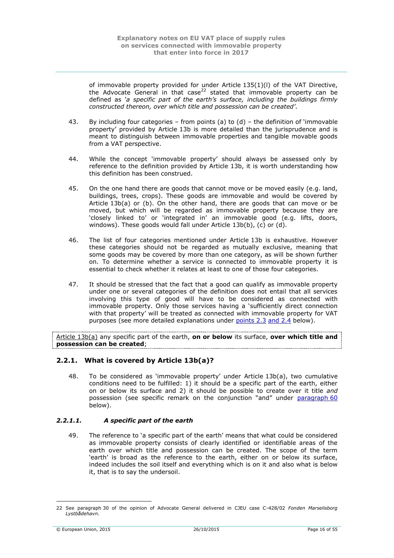of immovable property provided for under Article 135(1)(l) of the VAT Directive, the Advocate General in that case<sup>22</sup> stated that immovable property can be defined as *'a specific part of the earth's surface, including the buildings firmly constructed thereon, over which title and possession can be created'*.

- 43. By including four categories from points (a) to  $(d)$  the definition of 'immovable property' provided by Article 13b is more detailed than the jurisprudence and is meant to distinguish between immovable properties and tangible movable goods from a VAT perspective.
- 44. While the concept 'immovable property' should always be assessed only by reference to the definition provided by Article 13b, it is worth understanding how this definition has been construed.
- 45. On the one hand there are goods that cannot move or be moved easily (e.g. land, buildings, trees, crops). These goods are immovable and would be covered by Article 13b(a) or (b). On the other hand, there are goods that can move or be moved, but which will be regarded as immovable property because they are 'closely linked to' or 'integrated in' an immovable good (e.g. lifts, doors, windows). These goods would fall under Article 13b(b), (c) or (d).
- <span id="page-15-2"></span>46. The list of four categories mentioned under Article 13b is exhaustive. However these categories should not be regarded as mutually exclusive, meaning that some goods may be covered by more than one category, as will be shown further on. To determine whether a service is connected to immovable property it is essential to check whether it relates at least to one of those four categories.
- 47. It should be stressed that the fact that a good can qualify as immovable property under one or several categories of the definition does not entail that all services involving this type of good will have to be considered as connected with immovable property. Only those services having a 'sufficiently direct connection with that property' will be treated as connected with immovable property for VAT purposes (see more detailed explanations under [points](#page-24-0) 2.3 [and 2.4](#page-28-1) below).

Article 13b(a) any specific part of the earth, **on or below** its surface, **over which title and possession can be created**;

# <span id="page-15-0"></span>**2.2.1. What is covered by Article 13b(a)?**

48. To be considered as 'immovable property' under Article 13b(a), two cumulative conditions need to be fulfilled: 1) it should be a specific part of the earth, either on or below its surface and 2) it should be possible to create over it title *and* possession (see specific remark on the conjunction "and" under [paragraph](#page-17-2) 60 below).

### <span id="page-15-1"></span>*2.2.1.1. A specific part of the earth*

49. The reference to 'a specific part of the earth' means that what could be considered as immovable property consists of clearly identified or identifiable areas of the earth over which title and possession can be created. The scope of the term 'earth' is broad as the reference to the earth, either on or below its surface, indeed includes the soil itself and everything which is on it and also what is below it, that is to say the undersoil.

<sup>22</sup> See paragraph 30 of the opinion of Advocate General delivered in CJEU case C-428/02 *Fonden Marselisborg Lystbådehavn*.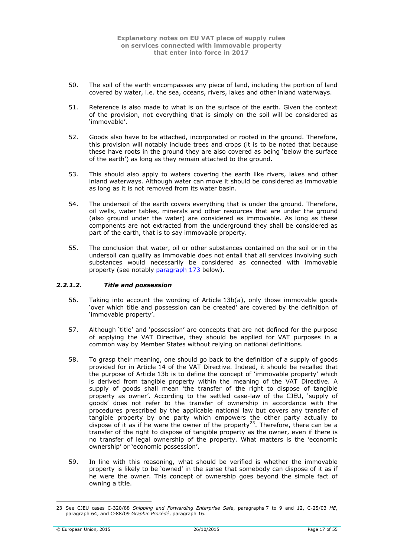- 50. The soil of the earth encompasses any piece of land, including the portion of land covered by water, i.e. the sea, oceans, rivers, lakes and other inland waterways.
- 51. Reference is also made to what is on the surface of the earth. Given the context of the provision, not everything that is simply on the soil will be considered as 'immovable'.
- 52. Goods also have to be attached, incorporated or rooted in the ground. Therefore, this provision will notably include trees and crops (it is to be noted that because these have roots in the ground they are also covered as being 'below the surface of the earth') as long as they remain attached to the ground.
- 53. This should also apply to waters covering the earth like rivers, lakes and other inland waterways. Although water can move it should be considered as immovable as long as it is not removed from its water basin.
- 54. The undersoil of the earth covers everything that is under the ground. Therefore, oil wells, water tables, minerals and other resources that are under the ground (also ground under the water) are considered as immovable. As long as these components are not extracted from the underground they shall be considered as part of the earth, that is to say immovable property.
- 55. The conclusion that water, oil or other substances contained on the soil or in the undersoil can qualify as immovable does not entail that all services involving such substances would necessarily be considered as connected with immovable property (see notably [paragraph](#page-32-5) 173 below).

### <span id="page-16-0"></span>*2.2.1.2. Title and possession*

- 56. Taking into account the wording of Article 13b(a), only those immovable goods 'over which title and possession can be created' are covered by the definition of 'immovable property'.
- 57. Although 'title' and 'possession' are concepts that are not defined for the purpose of applying the VAT Directive, they should be applied for VAT purposes in a common way by Member States without relying on national definitions.
- 58. To grasp their meaning, one should go back to the definition of a supply of goods provided for in Article 14 of the VAT Directive. Indeed, it should be recalled that the purpose of Article 13b is to define the concept of 'immovable property' which is derived from tangible property within the meaning of the VAT Directive. A supply of goods shall mean 'the transfer of the right to dispose of tangible property as owner'. According to the settled case-law of the CJEU, 'supply of goods' does not refer to the transfer of ownership in accordance with the procedures prescribed by the applicable national law but covers any transfer of tangible property by one party which empowers the other party actually to dispose of it as if he were the owner of the property<sup>23</sup>. Therefore, there can be a transfer of the right to dispose of tangible property as the owner, even if there is no transfer of legal ownership of the property. What matters is the 'economic ownership' or 'economic possession'.
- 59. In line with this reasoning, what should be verified is whether the immovable property is likely to be 'owned' in the sense that somebody can dispose of it as if he were the owner. This concept of ownership goes beyond the simple fact of owning a title.

<sup>23</sup> See CJEU cases C-320/88 *Shipping and Forwarding Enterprise Safe*, paragraphs 7 to 9 and 12, C-25/03 *HE*, paragraph 64, and C-88/09 *Graphic Procédé*, paragraph 16.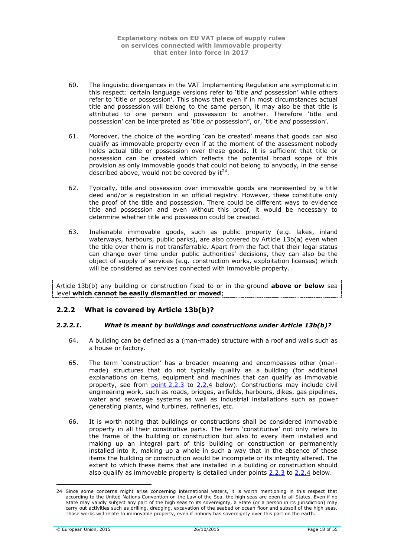- <span id="page-17-2"></span>60. The linguistic divergences in the VAT Implementing Regulation are symptomatic in this respect: certain language versions refer to 'title *and* possession' while others refer to 'title *or* possession'. This shows that even if in most circumstances actual title and possession will belong to the same person, it may also be that title is attributed to one person and possession to another. Therefore 'title and possession' can be interpreted as 'title *or* possession", or, 'title *and* possession'.
- 61. Moreover, the choice of the wording 'can be created' means that goods can also qualify as immovable property even if at the moment of the assessment nobody holds actual title or possession over these goods. It is sufficient that title or possession can be created which reflects the potential broad scope of this provision as only immovable goods that could not belong to anybody, in the sense described above, would not be covered by it $^{24}$ .
- 62. Typically, title and possession over immovable goods are represented by a title deed and/or a registration in an official registry. However, these constitute only the proof of the title and possession. There could be different ways to evidence title and possession and even without this proof, it would be necessary to determine whether title and possession could be created.
- 63. Inalienable immovable goods, such as public property (e.g. lakes, inland waterways, harbours, public parks), are also covered by Article 13b(a) even when the title over them is not transferrable. Apart from the fact that their legal status can change over time under public authorities' decisions, they can also be the object of supply of services (e.g. construction works, exploitation licenses) which will be considered as services connected with immovable property.

Article 13b(b) any building or construction fixed to or in the ground **above or below** sea level **which cannot be easily dismantled or moved**;

# <span id="page-17-0"></span>**2.2.2 What is covered by Article 13b(b)?**

### <span id="page-17-1"></span>*2.2.2.1. What is meant by buildings and constructions under Article 13b(b)?*

- 64. A building can be defined as a (man-made) structure with a roof and walls such as a house or factory.
- 65. The term 'construction' has a broader meaning and encompasses other (manmade) structures that do not typically qualify as a building (for additional explanations on items, equipment and machines that can qualify as immovable property, see from  $point 2.2.3$  to  $2.2.4$  below). Constructions may include civil engineering work, such as roads, bridges, airfields, harbours, dikes, gas pipelines, water and sewerage systems as well as industrial installations such as power generating plants, wind turbines, refineries, etc.
- <span id="page-17-3"></span>66. It is worth noting that buildings or constructions shall be considered immovable property in all their constitutive parts. The term 'constitutive' not only refers to the frame of the building or construction but also to every item installed and making up an integral part of this building or construction or permanently installed into it, making up a whole in such a way that in the absence of these items the building or construction would be incomplete or its integrity altered. The extent to which these items that are installed in a building or construction should also qualify as immovable property is detailed under points [2.2.3](#page-20-0) to [2.2.4](#page-21-0) below.

<sup>24</sup> Since some concerns might arise concerning international waters, it is worth mentioning in this respect that according to the United Nations Convention on the Law of the Sea, the high seas are open to all States. Even if no State may validly subject any part of the high seas to its sovereignty, a State (or a person in its jurisdiction) may carry out activities such as drilling, dredging, excavation of the seabed or ocean floor and subsoil of the high seas. Those works will relate to immovable property, even if nobody has sovereignty over this part on the earth.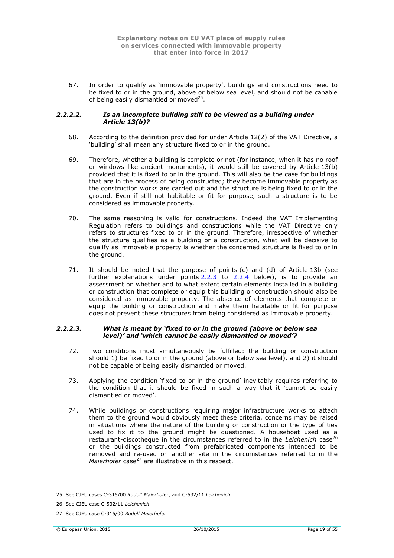67. In order to qualify as 'immovable property', buildings and constructions need to be fixed to or in the ground, above or below sea level, and should not be capable of being easily dismantled or moved $25$ .

### <span id="page-18-0"></span>*2.2.2.2. Is an incomplete building still to be viewed as a building under Article 13(b)?*

- 68. According to the definition provided for under Article 12(2) of the VAT Directive, a 'building' shall mean any structure fixed to or in the ground.
- 69. Therefore, whether a building is complete or not (for instance, when it has no roof or windows like ancient monuments), it would still be covered by Article 13(b) provided that it is fixed to or in the ground. This will also be the case for buildings that are in the process of being constructed; they become immovable property as the construction works are carried out and the structure is being fixed to or in the ground. Even if still not habitable or fit for purpose, such a structure is to be considered as immovable property.
- 70. The same reasoning is valid for constructions. Indeed the VAT Implementing Regulation refers to buildings and constructions while the VAT Directive only refers to structures fixed to or in the ground. Therefore, irrespective of whether the structure qualifies as a building or a construction, what will be decisive to qualify as immovable property is whether the concerned structure is fixed to or in the ground.
- 71. It should be noted that the purpose of points (c) and (d) of Article 13b (see further explanations under points [2.2.3](#page-20-0) to [2.2.4](#page-21-0) below), is to provide an assessment on whether and to what extent certain elements installed in a building or construction that complete or equip this building or construction should also be considered as immovable property. The absence of elements that complete or equip the building or construction and make them habitable or fit for purpose does not prevent these structures from being considered as immovable property.

### <span id="page-18-1"></span>*2.2.2.3. What is meant by 'fixed to or in the ground (above or below sea level)' and 'which cannot be easily dismantled or moved'?*

- 72. Two conditions must simultaneously be fulfilled: the building or construction should 1) be fixed to or in the ground (above or below sea level), and 2) it should not be capable of being easily dismantled or moved.
- 73. Applying the condition 'fixed to or in the ground' inevitably requires referring to the condition that it should be fixed in such a way that it 'cannot be easily dismantled or moved'.
- 74. While buildings or constructions requiring major infrastructure works to attach them to the ground would obviously meet these criteria, concerns may be raised in situations where the nature of the building or construction or the type of ties used to fix it to the ground might be questioned. A houseboat used as a restaurant-discotheque in the circumstances referred to in the *Leichenich* case<sup>26</sup> or the buildings constructed from prefabricated components intended to be removed and re-used on another site in the circumstances referred to in the *Maierhofer* case<sup>27</sup> are illustrative in this respect.

<sup>&</sup>lt;u>.</u> 25 See CJEU cases C-315/00 *Rudolf Maierhofer*, and C-532/11 *Leichenich*.

<sup>26</sup> See CJEU case C-532/11 *Leichenich*.

<sup>27</sup> See CJEU case C-315/00 *Rudolf Maierhofer*.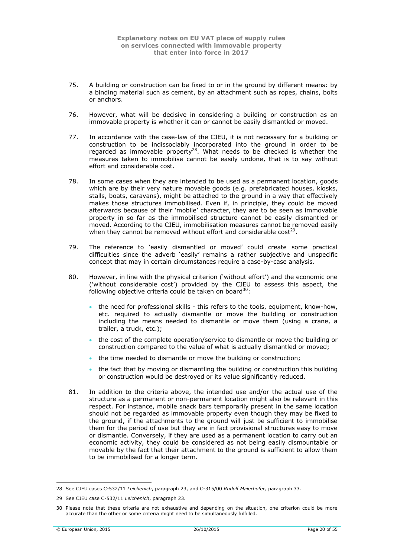- 75. A building or construction can be fixed to or in the ground by different means: by a binding material such as cement, by an attachment such as ropes, chains, bolts or anchors.
- 76. However, what will be decisive in considering a building or construction as an immovable property is whether it can or cannot be easily dismantled or moved.
- 77. In accordance with the case-law of the CJEU, it is not necessary for a building or construction to be indissociably incorporated into the ground in order to be regarded as immovable property<sup>28</sup>. What needs to be checked is whether the measures taken to immobilise cannot be easily undone, that is to say without effort and considerable cost.
- 78. In some cases when they are intended to be used as a permanent location, goods which are by their very nature movable goods (e.g. prefabricated houses, kiosks, stalls, boats, caravans), might be attached to the ground in a way that effectively makes those structures immobilised. Even if, in principle, they could be moved afterwards because of their 'mobile' character, they are to be seen as immovable property in so far as the immobilised structure cannot be easily dismantled or moved. According to the CJEU, immobilisation measures cannot be removed easily when they cannot be removed without effort and considerable  $cost^{29}$ .
- 79. The reference to 'easily dismantled or moved' could create some practical difficulties since the adverb 'easily' remains a rather subjective and unspecific concept that may in certain circumstances require a case-by-case analysis.
- 80. However, in line with the physical criterion ('without effort') and the economic one ('without considerable cost') provided by the CJEU to assess this aspect, the following objective criteria could be taken on board $30$ :
	- the need for professional skills this refers to the tools, equipment, know-how, etc. required to actually dismantle or move the building or construction including the means needed to dismantle or move them (using a crane, a trailer, a truck, etc.);
	- the cost of the complete operation/service to dismantle or move the building or construction compared to the value of what is actually dismantled or moved;
	- the time needed to dismantle or move the building or construction;
	- the fact that by moving or dismantling the building or construction this building or construction would be destroyed or its value significantly reduced.
- 81. In addition to the criteria above, the intended use and/or the actual use of the structure as a permanent or non-permanent location might also be relevant in this respect. For instance, mobile snack bars temporarily present in the same location should not be regarded as immovable property even though they may be fixed to the ground, if the attachments to the ground will just be sufficient to immobilise them for the period of use but they are in fact provisional structures easy to move or dismantle. Conversely, if they are used as a permanent location to carry out an economic activity, they could be considered as not being easily dismountable or movable by the fact that their attachment to the ground is sufficient to allow them to be immobilised for a longer term.

<sup>1</sup> 28 See CJEU cases C-532/11 *Leichenich*, paragraph 23, and C-315/00 *Rudolf Maierhofer,* paragraph 33.

<sup>29</sup> See CJEU case C-532/11 *Leichenich*, paragraph 23.

<sup>30</sup> Please note that these criteria are not exhaustive and depending on the situation, one criterion could be more accurate than the other or some criteria might need to be simultaneously fulfilled.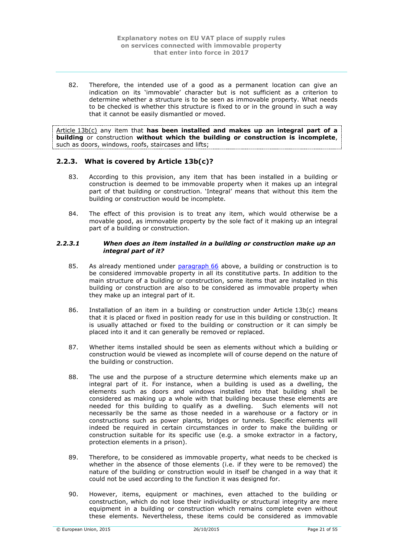82. Therefore, the intended use of a good as a permanent location can give an indication on its 'immovable' character but is not sufficient as a criterion to determine whether a structure is to be seen as immovable property. What needs to be checked is whether this structure is fixed to or in the ground in such a way that it cannot be easily dismantled or moved.

Article 13b(c) any item that **has been installed and makes up an integral part of a building** or construction **without which the building or construction is incomplete**, such as doors, windows, roofs, staircases and lifts;

# <span id="page-20-0"></span>**2.2.3. What is covered by Article 13b(c)?**

- 83. According to this provision, any item that has been installed in a building or construction is deemed to be immovable property when it makes up an integral part of that building or construction. 'Integral' means that without this item the building or construction would be incomplete.
- 84. The effect of this provision is to treat any item, which would otherwise be a movable good, as immovable property by the sole fact of it making up an integral part of a building or construction.

#### <span id="page-20-1"></span>*2.2.3.1 When does an item installed in a building or construction make up an integral part of it?*

- 85. As already mentioned under [paragraph](#page-17-3) 66 above, a building or construction is to be considered immovable property in all its constitutive parts. In addition to the main structure of a building or construction, some items that are installed in this building or construction are also to be considered as immovable property when they make up an integral part of it.
- <span id="page-20-2"></span>86. Installation of an item in a building or construction under Article 13b(c) means that it is placed or fixed in position ready for use in this building or construction. It is usually attached or fixed to the building or construction or it can simply be placed into it and it can generally be removed or replaced.
- 87. Whether items installed should be seen as elements without which a building or construction would be viewed as incomplete will of course depend on the nature of the building or construction.
- 88. The use and the purpose of a structure determine which elements make up an integral part of it. For instance, when a building is used as a dwelling, the elements such as doors and windows installed into that building shall be considered as making up a whole with that building because these elements are needed for this building to qualify as a dwelling. Such elements will not necessarily be the same as those needed in a warehouse or a factory or in constructions such as power plants, bridges or tunnels. Specific elements will indeed be required in certain circumstances in order to make the building or construction suitable for its specific use (e.g. a smoke extractor in a factory, protection elements in a prison).
- 89. Therefore, to be considered as immovable property, what needs to be checked is whether in the absence of those elements (i.e. if they were to be removed) the nature of the building or construction would in itself be changed in a way that it could not be used according to the function it was designed for.
- 90. However, items, equipment or machines, even attached to the building or construction, which do not lose their individuality or structural integrity are mere equipment in a building or construction which remains complete even without these elements. Nevertheless, these items could be considered as immovable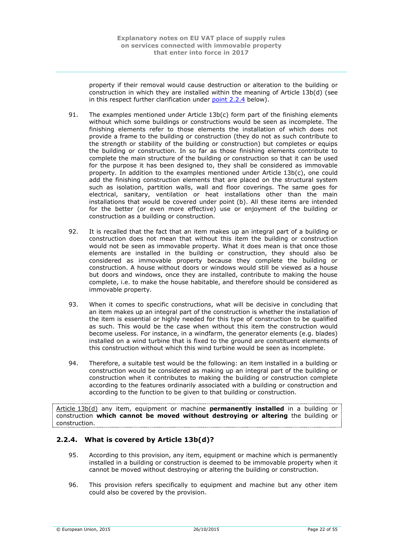property if their removal would cause destruction or alteration to the building or construction in which they are installed within the meaning of Article 13b(d) (see in this respect further clarification under [point](#page-21-0) 2.2.4 below).

- 91. The examples mentioned under Article 13b(c) form part of the finishing elements without which some buildings or constructions would be seen as incomplete. The finishing elements refer to those elements the installation of which does not provide a frame to the building or construction (they do not as such contribute to the strength or stability of the building or construction) but completes or equips the building or construction. In so far as those finishing elements contribute to complete the main structure of the building or construction so that it can be used for the purpose it has been designed to, they shall be considered as immovable property. In addition to the examples mentioned under Article 13b(c), one could add the finishing construction elements that are placed on the structural system such as isolation, partition walls, wall and floor coverings. The same goes for electrical, sanitary, ventilation or heat installations other than the main installations that would be covered under point (b). All these items are intended for the better (or even more effective) use or enjoyment of the building or construction as a building or construction.
- 92. It is recalled that the fact that an item makes up an integral part of a building or construction does not mean that without this item the building or construction would not be seen as immovable property. What it does mean is that once those elements are installed in the building or construction, they should also be considered as immovable property because they complete the building or construction. A house without doors or windows would still be viewed as a house but doors and windows, once they are installed, contribute to making the house complete, i.e. to make the house habitable, and therefore should be considered as immovable property.
- 93. When it comes to specific constructions, what will be decisive in concluding that an item makes up an integral part of the construction is whether the installation of the item is essential or highly needed for this type of construction to be qualified as such. This would be the case when without this item the construction would become useless. For instance, in a windfarm, the generator elements (e.g. blades) installed on a wind turbine that is fixed to the ground are constituent elements of this construction without which this wind turbine would be seen as incomplete.
- 94. Therefore, a suitable test would be the following: an item installed in a building or construction would be considered as making up an integral part of the building or construction when it contributes to making the building or construction complete according to the features ordinarily associated with a building or construction and according to the function to be given to that building or construction.

Article 13b(d) any item, equipment or machine **permanently installed** in a building or construction **which cannot be moved without destroying or altering** the building or construction.

# <span id="page-21-0"></span>**2.2.4. What is covered by Article 13b(d)?**

- 95. According to this provision, any item, equipment or machine which is permanently installed in a building or construction is deemed to be immovable property when it cannot be moved without destroying or altering the building or construction.
- 96. This provision refers specifically to equipment and machine but any other item could also be covered by the provision.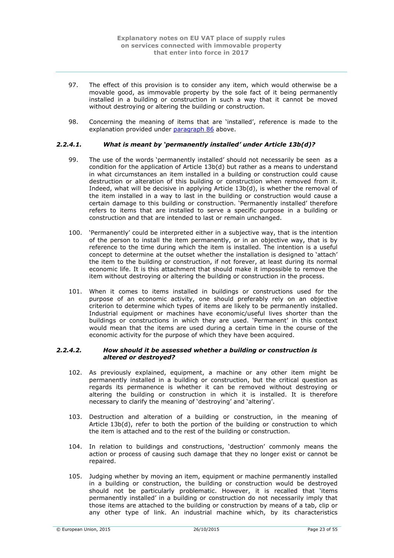- 97. The effect of this provision is to consider any item, which would otherwise be a movable good, as immovable property by the sole fact of it being permanently installed in a building or construction in such a way that it cannot be moved without destroying or altering the building or construction.
- 98. Concerning the meaning of items that are 'installed', reference is made to the explanation provided under [paragraph](#page-20-2) 86 above.

# <span id="page-22-0"></span>*2.2.4.1. What is meant by 'permanently installed' under Article 13b(d)?*

- 99. The use of the words 'permanently installed' should not necessarily be seen as a condition for the application of Article 13b(d) but rather as a means to understand in what circumstances an item installed in a building or construction could cause destruction or alteration of this building or construction when removed from it. Indeed, what will be decisive in applying Article 13b(d), is whether the removal of the item installed in a way to last in the building or construction would cause a certain damage to this building or construction. 'Permanently installed' therefore refers to items that are installed to serve a specific purpose in a building or construction and that are intended to last or remain unchanged.
- 100. 'Permanently' could be interpreted either in a subjective way, that is the intention of the person to install the item permanently, or in an objective way, that is by reference to the time during which the item is installed. The intention is a useful concept to determine at the outset whether the installation is designed to 'attach' the item to the building or construction, if not forever, at least during its normal economic life. It is this attachment that should make it impossible to remove the item without destroying or altering the building or construction in the process.
- 101. When it comes to items installed in buildings or constructions used for the purpose of an economic activity, one should preferably rely on an objective criterion to determine which types of items are likely to be permanently installed. Industrial equipment or machines have economic/useful lives shorter than the buildings or constructions in which they are used. 'Permanent' in this context would mean that the items are used during a certain time in the course of the economic activity for the purpose of which they have been acquired.

#### <span id="page-22-1"></span>*2.2.4.2. How should it be assessed whether a building or construction is altered or destroyed?*

- 102. As previously explained, equipment, a machine or any other item might be permanently installed in a building or construction, but the critical question as regards its permanence is whether it can be removed without destroying or altering the building or construction in which it is installed. It is therefore necessary to clarify the meaning of 'destroying' and 'altering'.
- 103. Destruction and alteration of a building or construction, in the meaning of Article 13b(d), refer to both the portion of the building or construction to which the item is attached and to the rest of the building or construction.
- 104. In relation to buildings and constructions, 'destruction' commonly means the action or process of causing such damage that they no longer exist or cannot be repaired.
- 105. Judging whether by moving an item, equipment or machine permanently installed in a building or construction, the building or construction would be destroyed should not be particularly problematic. However, it is recalled that 'items permanently installed' in a building or construction do not necessarily imply that those items are attached to the building or construction by means of a tab, clip or any other type of link. An industrial machine which, by its characteristics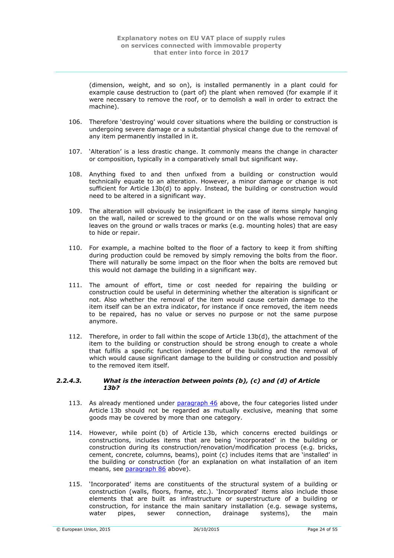(dimension, weight, and so on), is installed permanently in a plant could for example cause destruction to (part of) the plant when removed (for example if it were necessary to remove the roof, or to demolish a wall in order to extract the machine).

- 106. Therefore 'destroying' would cover situations where the building or construction is undergoing severe damage or a substantial physical change due to the removal of any item permanently installed in it.
- 107. 'Alteration' is a less drastic change. It commonly means the change in character or composition, typically in a comparatively small but significant way.
- 108. Anything fixed to and then unfixed from a building or construction would technically equate to an alteration. However, a minor damage or change is not sufficient for Article 13b(d) to apply. Instead, the building or construction would need to be altered in a significant way.
- 109. The alteration will obviously be insignificant in the case of items simply hanging on the wall, nailed or screwed to the ground or on the walls whose removal only leaves on the ground or walls traces or marks (e.g. mounting holes) that are easy to hide or repair.
- 110. For example, a machine bolted to the floor of a factory to keep it from shifting during production could be removed by simply removing the bolts from the floor. There will naturally be some impact on the floor when the bolts are removed but this would not damage the building in a significant way.
- 111. The amount of effort, time or cost needed for repairing the building or construction could be useful in determining whether the alteration is significant or not. Also whether the removal of the item would cause certain damage to the item itself can be an extra indicator, for instance if once removed, the item needs to be repaired, has no value or serves no purpose or not the same purpose anymore.
- 112. Therefore, in order to fall within the scope of Article 13b(d), the attachment of the item to the building or construction should be strong enough to create a whole that fulfils a specific function independent of the building and the removal of which would cause significant damage to the building or construction and possibly to the removed item itself.

#### <span id="page-23-0"></span>*2.2.4.3. What is the interaction between points (b), (c) and (d) of Article 13b?*

- 113. As already mentioned under [paragraph](#page-15-2) 46 above, the four categories listed under Article 13b should not be regarded as mutually exclusive, meaning that some goods may be covered by more than one category.
- 114. However, while point (b) of Article 13b, which concerns erected buildings or constructions, includes items that are being 'incorporated' in the building or construction during its construction/renovation/modification process (e.g. bricks, cement, concrete, columns, beams), point (c) includes items that are 'installed' in the building or construction (for an explanation on what installation of an item means, see [paragraph](#page-20-2) 86 above).
- 115. 'Incorporated' items are constituents of the structural system of a building or construction (walls, floors, frame, etc.). 'Incorporated' items also include those elements that are built as infrastructure or superstructure of a building or construction, for instance the main sanitary installation (e.g. sewage systems, water pipes, sewer connection, drainage systems), the main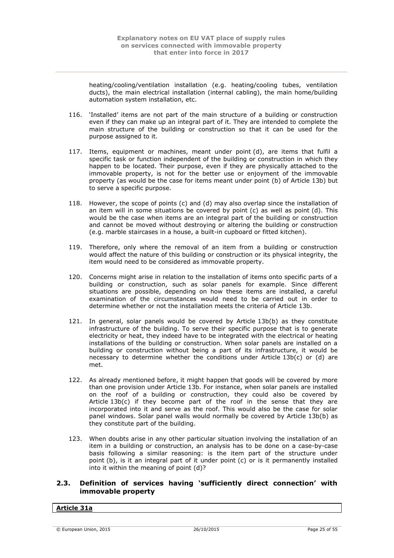heating/cooling/ventilation installation (e.g. heating/cooling tubes, ventilation ducts), the main electrical installation (internal cabling), the main home/building automation system installation, etc.

- 116. 'Installed' items are not part of the main structure of a building or construction even if they can make up an integral part of it. They are intended to complete the main structure of the building or construction so that it can be used for the purpose assigned to it.
- 117. Items, equipment or machines, meant under point (d), are items that fulfil a specific task or function independent of the building or construction in which they happen to be located. Their purpose, even if they are physically attached to the immovable property, is not for the better use or enjoyment of the immovable property (as would be the case for items meant under point (b) of Article 13b) but to serve a specific purpose.
- 118. However, the scope of points (c) and (d) may also overlap since the installation of an item will in some situations be covered by point (c) as well as point (d). This would be the case when items are an integral part of the building or construction and cannot be moved without destroying or altering the building or construction (e.g. marble staircases in a house, a built-in cupboard or fitted kitchen).
- 119. Therefore, only where the removal of an item from a building or construction would affect the nature of this building or construction or its physical integrity, the item would need to be considered as immovable property.
- 120. Concerns might arise in relation to the installation of items onto specific parts of a building or construction, such as solar panels for example. Since different situations are possible, depending on how these items are installed, a careful examination of the circumstances would need to be carried out in order to determine whether or not the installation meets the criteria of Article 13b.
- 121. In general, solar panels would be covered by Article 13b(b) as they constitute infrastructure of the building. To serve their specific purpose that is to generate electricity or heat, they indeed have to be integrated with the electrical or heating installations of the building or construction. When solar panels are installed on a building or construction without being a part of its infrastructure, it would be necessary to determine whether the conditions under Article 13b(c) or (d) are met.
- 122. As already mentioned before, it might happen that goods will be covered by more than one provision under Article 13b. For instance, when solar panels are installed on the roof of a building or construction, they could also be covered by Article  $13b(c)$  if they become part of the roof in the sense that they are incorporated into it and serve as the roof. This would also be the case for solar panel windows. Solar panel walls would normally be covered by Article 13b(b) as they constitute part of the building.
- 123. When doubts arise in any other particular situation involving the installation of an item in a building or construction, an analysis has to be done on a case-by-case basis following a similar reasoning: is the item part of the structure under point (b), is it an integral part of it under point (c) or is it permanently installed into it within the meaning of point (d)?

# <span id="page-24-0"></span>**2.3. Definition of services having 'sufficiently direct connection' with immovable property**

# **Article 31a**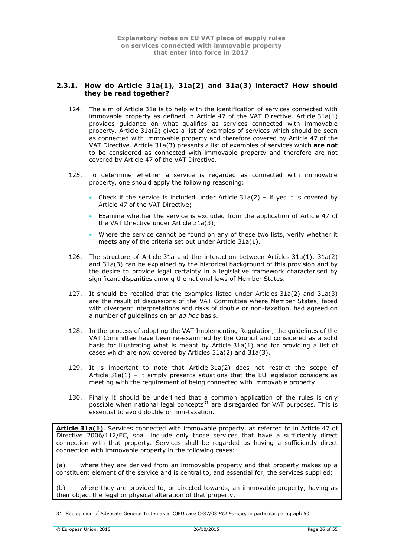# <span id="page-25-0"></span>**2.3.1. How do Article 31a(1), 31a(2) and 31a(3) interact? How should they be read together?**

- 124. The aim of Article 31a is to help with the identification of services connected with immovable property as defined in Article 47 of the VAT Directive. Article 31a(1) provides guidance on what qualifies as services connected with immovable property. Article 31a(2) gives a list of examples of services which should be seen as connected with immovable property and therefore covered by Article 47 of the VAT Directive. Article 31a(3) presents a list of examples of services which **are not** to be considered as connected with immovable property and therefore are not covered by Article 47 of the VAT Directive.
- 125. To determine whether a service is regarded as connected with immovable property, one should apply the following reasoning:
	- Check if the service is included under Article  $31a(2)$  if yes it is covered by Article 47 of the VAT Directive;
	- Examine whether the service is excluded from the application of Article 47 of the VAT Directive under Article 31a(3);
	- Where the service cannot be found on any of these two lists, verify whether it meets any of the criteria set out under Article 31a(1).
- 126. The structure of Article 31a and the interaction between Articles 31a(1), 31a(2) and 31a(3) can be explained by the historical background of this provision and by the desire to provide legal certainty in a legislative framework characterised by significant disparities among the national laws of Member States.
- 127. It should be recalled that the examples listed under Articles 31a(2) and 31a(3) are the result of discussions of the VAT Committee where Member States, faced with divergent interpretations and risks of double or non-taxation, had agreed on a number of guidelines on an *ad hoc* basis.
- 128. In the process of adopting the VAT Implementing Regulation, the guidelines of the VAT Committee have been re-examined by the Council and considered as a solid basis for illustrating what is meant by Article 31a(1) and for providing a list of cases which are now covered by Articles 31a(2) and 31a(3).
- 129. It is important to note that Article 31a(2) does not restrict the scope of Article  $31a(1)$  – it simply presents situations that the EU legislator considers as meeting with the requirement of being connected with immovable property.
- 130. Finally it should be underlined that a common application of the rules is only possible when national legal concepts<sup>31</sup> are disregarded for VAT purposes. This is essential to avoid double or non-taxation.

**Article 31a(1)**. Services connected with immovable property, as referred to in Article 47 of Directive 2006/112/EC, shall include only those services that have a sufficiently direct connection with that property. Services shall be regarded as having a sufficiently direct connection with immovable property in the following cases:

(a) where they are derived from an immovable property and that property makes up a constituent element of the service and is central to, and essential for, the services supplied;

(b) where they are provided to, or directed towards, an immovable property, having as their object the legal or physical alteration of that property.

<sup>1</sup> 31 See opinion of Advocate General Trstenjak in CJEU case C-37/08 *RCI Europe,* in particular paragraph 50*.*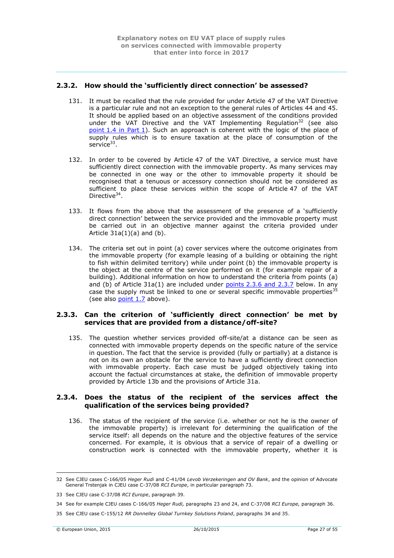# <span id="page-26-0"></span>**2.3.2. How should the 'sufficiently direct connection' be assessed?**

- 131. It must be recalled that the rule provided for under Article 47 of the VAT Directive is a particular rule and not an exception to the general rules of Articles 44 and 45. It should be applied based on an objective assessment of the conditions provided under the VAT Directive and the VAT Implementing Regulation<sup>32</sup> (see also point [1.4 in Part](#page-9-1) 1). Such an approach is coherent with the logic of the place of supply rules which is to ensure taxation at the place of consumption of the service $^{33}$ .
- 132. In order to be covered by Article 47 of the VAT Directive, a service must have sufficiently direct connection with the immovable property. As many services may be connected in one way or the other to immovable property it should be recognised that a tenuous or accessory connection should not be considered as sufficient to place these services within the scope of Article 47 of the VAT Directive<sup>34</sup>.
- 133. It flows from the above that the assessment of the presence of a 'sufficiently direct connection' between the service provided and the immovable property must be carried out in an objective manner against the criteria provided under Article  $31a(1)(a)$  and  $(b)$ .
- 134. The criteria set out in point (a) cover services where the outcome originates from the immovable property (for example leasing of a building or obtaining the right to fish within delimited territory) while under point (b) the immovable property is the object at the centre of the service performed on it (for example repair of a building). Additional information on how to understand the criteria from points (a) and (b) of Article  $31a(1)$  are included under points [2.3.6 and 2.3.7](#page-27-1) below. In any case the supply must be linked to one or several specific immovable properties<sup>31</sup> (see also [point](#page-11-0) 1.7 above).

### <span id="page-26-1"></span>**2.3.3. Can the criterion of 'sufficiently direct connection' be met by services that are provided from a distance/off-site?**

135. The question whether services provided off-site/at a distance can be seen as connected with immovable property depends on the specific nature of the service in question. The fact that the service is provided (fully or partially) at a distance is not on its own an obstacle for the service to have a sufficiently direct connection with immovable property. Each case must be judged objectively taking into account the factual circumstances at stake, the definition of immovable property provided by Article 13b and the provisions of Article 31a.

# <span id="page-26-2"></span>**2.3.4. Does the status of the recipient of the services affect the qualification of the services being provided?**

136. The status of the recipient of the service (i.e. whether or not he is the owner of the immovable property) is irrelevant for determining the qualification of the service itself: all depends on the nature and the objective features of the service concerned. For example, it is obvious that a service of repair of a dwelling or construction work is connected with the immovable property, whether it is

<sup>32</sup> See CJEU cases C-166/05 *Heger Rudi* and C-41/04 *Levob Verzekeringen and OV Bank*, and the opinion of Advocate General Trstenjak in CJEU case C-37/08 *RCI Europe*, in particular paragraph 73.

<sup>33</sup> See CJEU case C-37/08 *RCI Europe*, paragraph 39.

<sup>34</sup> See for example CJEU cases C-166/05 *Heger Rudi,* paragraphs 23 and 24, and C-37/08 *RCI Europe,* paragraph 36.

<sup>35</sup> See CJEU case C-155/12 *RR Donnelley Global Turnkey Solutions Poland*, paragraphs 34 and 35.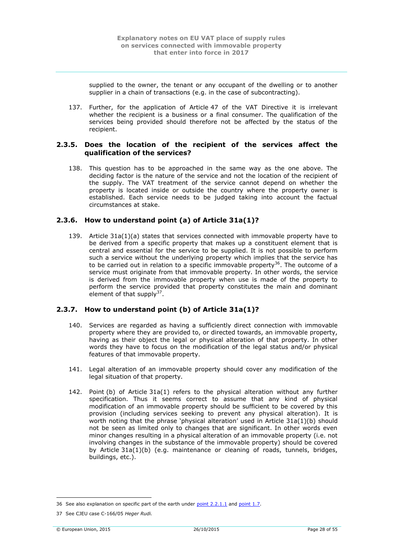supplied to the owner, the tenant or any occupant of the dwelling or to another supplier in a chain of transactions (e.g. in the case of subcontracting).

137. Further, for the application of Article 47 of the VAT Directive it is irrelevant whether the recipient is a business or a final consumer. The qualification of the services being provided should therefore not be affected by the status of the recipient.

# <span id="page-27-0"></span>**2.3.5. Does the location of the recipient of the services affect the qualification of the services?**

138. This question has to be approached in the same way as the one above. The deciding factor is the nature of the service and not the location of the recipient of the supply. The VAT treatment of the service cannot depend on whether the property is located inside or outside the country where the property owner is established. Each service needs to be judged taking into account the factual circumstances at stake.

# <span id="page-27-1"></span>**2.3.6. How to understand point (a) of Article 31a(1)?**

139. Article 31a(1)(a) states that services connected with immovable property have to be derived from a specific property that makes up a constituent element that is central and essential for the service to be supplied. It is not possible to perform such a service without the underlying property which implies that the service has to be carried out in relation to a specific immovable property<sup>36</sup>. The outcome of a service must originate from that immovable property. In other words, the service is derived from the immovable property when use is made of the property to perform the service provided that property constitutes the main and dominant element of that supply $37$ .

# <span id="page-27-2"></span>**2.3.7. How to understand point (b) of Article 31a(1)?**

- 140. Services are regarded as having a sufficiently direct connection with immovable property where they are provided to, or directed towards, an immovable property, having as their object the legal or physical alteration of that property. In other words they have to focus on the modification of the legal status and/or physical features of that immovable property.
- 141. Legal alteration of an immovable property should cover any modification of the legal situation of that property.
- 142. Point (b) of Article 31a(1) refers to the physical alteration without any further specification. Thus it seems correct to assume that any kind of physical modification of an immovable property should be sufficient to be covered by this provision (including services seeking to prevent any physical alteration). It is worth noting that the phrase 'physical alteration' used in Article 31a(1)(b) should not be seen as limited only to changes that are significant. In other words even minor changes resulting in a physical alteration of an immovable property (i.e. not involving changes in the substance of the immovable property) should be covered by Article 31a(1)(b) (e.g. maintenance or cleaning of roads, tunnels, bridges, buildings, etc.).

<sup>36</sup> See also explanation on specific part of the earth under point [2.2.1.1](#page-15-1) and [point](#page-11-0) 1.7.

<sup>37</sup> See CJEU case C-166/05 *Heger Rudi.*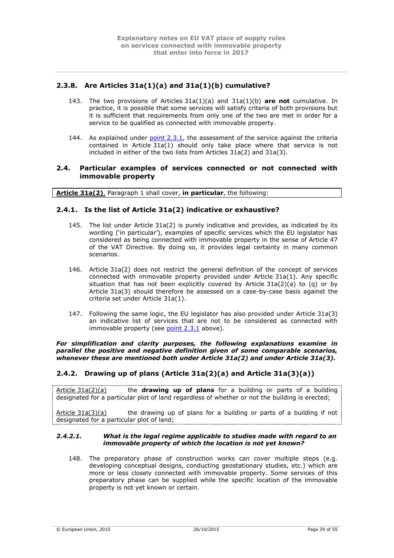# <span id="page-28-0"></span>**2.3.8. Are Articles 31a(1)(a) and 31a(1)(b) cumulative?**

- 143. The two provisions of Articles 31a(1)(a) and 31a(1)(b) **are not** cumulative. In practice, it is possible that some services will satisfy criteria of both provisions but it is sufficient that requirements from only one of the two are met in order for a service to be qualified as connected with immovable property.
- 144. As explained under  $point 2.3.1$ , the assessment of the service against the criteria contained in Article 31a(1) should only take place where that service is not included in either of the two lists from Articles 31a(2) and 31a(3).

### <span id="page-28-1"></span>**2.4. Particular examples of services connected or not connected with immovable property**

**Article 31a(2)**. Paragraph 1 shall cover, **in particular**, the following:

# <span id="page-28-2"></span>**2.4.1. Is the list of Article 31a(2) indicative or exhaustive?**

- 145. The list under Article 31a(2) is purely indicative and provides, as indicated by its wording ('in particular'), examples of specific services which the EU legislator has considered as being connected with immovable property in the sense of Article 47 of the VAT Directive. By doing so, it provides legal certainty in many common scenarios.
- 146. Article 31a(2) does not restrict the general definition of the concept of services connected with immovable property provided under Article 31a(1). Any specific situation that has not been explicitly covered by Article  $31a(2)(a)$  to  $(q)$  or by Article 31a(3) should therefore be assessed on a case-by-case basis against the criteria set under Article 31a(1).
- 147. Following the same logic, the EU legislator has also provided under Article 31a(3) an indicative list of services that are not to be considered as connected with immovable property (see [point 2.3.1](#page-25-0) above).

#### *For simplification and clarity purposes, the following explanations examine in parallel the positive and negative definition given of some comparable scenarios, whenever these are mentioned both under Article 31a(2) and under Article 31a(3).*

# <span id="page-28-3"></span>**2.4.2. Drawing up of plans (Article 31a(2)(a) and Article 31a(3)(a))**

Article 31a(2)(a) the **drawing up of plans** for a building or parts of a building designated for a particular plot of land regardless of whether or not the building is erected;

Article  $31a(3)(a)$  the drawing up of plans for a building or parts of a building if not designated for a particular plot of land;

#### <span id="page-28-4"></span>*2.4.2.1. What is the legal regime applicable to studies made with regard to an immovable property of which the location is not yet known?*

148. The preparatory phase of construction works can cover multiple steps (e.g. developing conceptual designs, conducting geostationary studies, etc.) which are more or less closely connected with immovable property. Some services of this preparatory phase can be supplied while the specific location of the immovable property is not yet known or certain.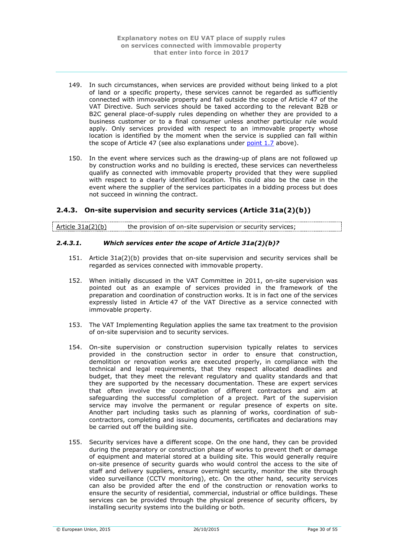- 149. In such circumstances, when services are provided without being linked to a plot of land or a specific property, these services cannot be regarded as sufficiently connected with immovable property and fall outside the scope of Article 47 of the VAT Directive. Such services should be taxed according to the relevant B2B or B2C general place-of-supply rules depending on whether they are provided to a business customer or to a final consumer unless another particular rule would apply. Only services provided with respect to an immovable property whose location is identified by the moment when the service is supplied can fall within the scope of Article 47 (see also explanations under [point](#page-11-0) 1.7 above).
- 150. In the event where services such as the drawing-up of plans are not followed up by construction works and no building is erected, these services can nevertheless qualify as connected with immovable property provided that they were supplied with respect to a clearly identified location. This could also be the case in the event where the supplier of the services participates in a bidding process but does not succeed in winning the contract.

# <span id="page-29-0"></span>**2.4.3. On-site supervision and security services (Article 31a(2)(b))**

| Article $31a(2)(b)$ | the provision of on-site supervision or security services; |  |
|---------------------|------------------------------------------------------------|--|
|                     |                                                            |  |

### <span id="page-29-1"></span>*2.4.3.1. Which services enter the scope of Article 31a(2)(b)?*

- 151. Article 31a(2)(b) provides that on-site supervision and security services shall be regarded as services connected with immovable property.
- 152. When initially discussed in the VAT Committee in 2011, on-site supervision was pointed out as an example of services provided in the framework of the preparation and coordination of construction works. It is in fact one of the services expressly listed in Article 47 of the VAT Directive as a service connected with immovable property.
- 153. The VAT Implementing Regulation applies the same tax treatment to the provision of on-site supervision and to security services.
- 154. On-site supervision or construction supervision typically relates to services provided in the construction sector in order to ensure that construction, demolition or renovation works are executed properly, in compliance with the technical and legal requirements, that they respect allocated deadlines and budget, that they meet the relevant regulatory and quality standards and that they are supported by the necessary documentation. These are expert services that often involve the coordination of different contractors and aim at safeguarding the successful completion of a project. Part of the supervision service may involve the permanent or regular presence of experts on site. Another part including tasks such as planning of works, coordination of subcontractors, completing and issuing documents, certificates and declarations may be carried out off the building site.
- 155. Security services have a different scope. On the one hand, they can be provided during the preparatory or construction phase of works to prevent theft or damage of equipment and material stored at a building site. This would generally require on-site presence of security guards who would control the access to the site of staff and delivery suppliers, ensure overnight security, monitor the site through video surveillance (CCTV monitoring), etc. On the other hand, security services can also be provided after the end of the construction or renovation works to ensure the security of residential, commercial, industrial or office buildings. These services can be provided through the physical presence of security officers, by installing security systems into the building or both.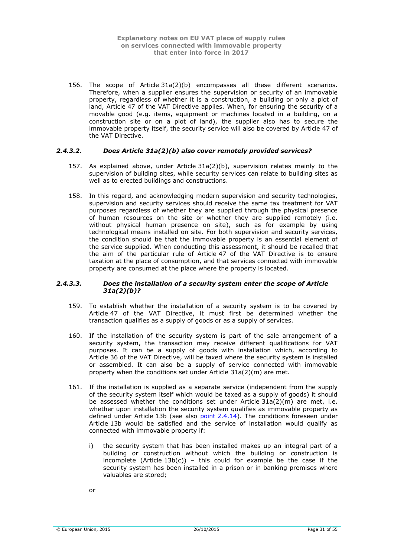156. The scope of Article 31a(2)(b) encompasses all these different scenarios. Therefore, when a supplier ensures the supervision or security of an immovable property, regardless of whether it is a construction, a building or only a plot of land, Article 47 of the VAT Directive applies. When, for ensuring the security of a movable good (e.g. items, equipment or machines located in a building, on a construction site or on a plot of land), the supplier also has to secure the immovable property itself, the security service will also be covered by Article 47 of the VAT Directive.

### <span id="page-30-0"></span>*2.4.3.2. Does Article 31a(2)(b) also cover remotely provided services?*

- 157. As explained above, under Article 31a(2)(b), supervision relates mainly to the supervision of building sites, while security services can relate to building sites as well as to erected buildings and constructions.
- 158. In this regard, and acknowledging modern supervision and security technologies, supervision and security services should receive the same tax treatment for VAT purposes regardless of whether they are supplied through the physical presence of human resources on the site or whether they are supplied remotely (i.e. without physical human presence on site), such as for example by using technological means installed on site. For both supervision and security services, the condition should be that the immovable property is an essential element of the service supplied. When conducting this assessment, it should be recalled that the aim of the particular rule of Article 47 of the VAT Directive is to ensure taxation at the place of consumption, and that services connected with immovable property are consumed at the place where the property is located.

#### <span id="page-30-1"></span>*2.4.3.3. Does the installation of a security system enter the scope of Article 31a(2)(b)?*

- 159. To establish whether the installation of a security system is to be covered by Article 47 of the VAT Directive, it must first be determined whether the transaction qualifies as a supply of goods or as a supply of services.
- 160. If the installation of the security system is part of the sale arrangement of a security system, the transaction may receive different qualifications for VAT purposes. It can be a supply of goods with installation which, according to Article 36 of the VAT Directive, will be taxed where the security system is installed or assembled. It can also be a supply of service connected with immovable property when the conditions set under Article 31a(2)(m) are met.
- 161. If the installation is supplied as a separate service (independent from the supply of the security system itself which would be taxed as a supply of goods) it should be assessed whether the conditions set under Article  $31a(2)(m)$  are met, i.e. whether upon installation the security system qualifies as immovable property as defined under Article 13b (see also  $point\ 2.4.14$ ). The conditions foreseen under Article 13b would be satisfied and the service of installation would qualify as connected with immovable property if:
	- i) the security system that has been installed makes up an integral part of a building or construction without which the building or construction is incomplete (Article  $13b(c)$ ) – this could for example be the case if the security system has been installed in a prison or in banking premises where valuables are stored;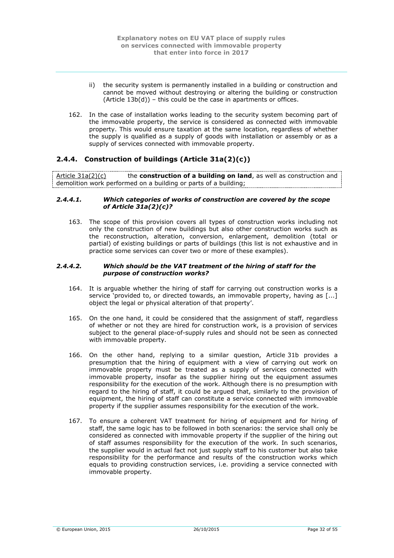- ii) the security system is permanently installed in a building or construction and cannot be moved without destroying or altering the building or construction  $(A$ rticle  $13b(d)$ ) – this could be the case in apartments or offices.
- 162. In the case of installation works leading to the security system becoming part of the immovable property, the service is considered as connected with immovable property. This would ensure taxation at the same location, regardless of whether the supply is qualified as a supply of goods with installation or assembly or as a supply of services connected with immovable property.

# <span id="page-31-0"></span>**2.4.4. Construction of buildings (Article 31a(2)(c))**

Article 31a(2)(c) the **construction of a building on land**, as well as construction and demolition work performed on a building or parts of a building;

#### <span id="page-31-1"></span>*2.4.4.1. Which categories of works of construction are covered by the scope of Article 31a(2)(c)?*

163. The scope of this provision covers all types of construction works including not only the construction of new buildings but also other construction works such as the reconstruction, alteration, conversion, enlargement, demolition (total or partial) of existing buildings or parts of buildings (this list is not exhaustive and in practice some services can cover two or more of these examples).

#### <span id="page-31-2"></span>*2.4.4.2. Which should be the VAT treatment of the hiring of staff for the purpose of construction works?*

- 164. It is arguable whether the hiring of staff for carrying out construction works is a service 'provided to, or directed towards, an immovable property, having as [...] object the legal or physical alteration of that property'.
- 165. On the one hand, it could be considered that the assignment of staff, regardless of whether or not they are hired for construction work, is a provision of services subject to the general place-of-supply rules and should not be seen as connected with immovable property.
- 166. On the other hand, replying to a similar question, Article 31b provides a presumption that the hiring of equipment with a view of carrying out work on immovable property must be treated as a supply of services connected with immovable property, insofar as the supplier hiring out the equipment assumes responsibility for the execution of the work. Although there is no presumption with regard to the hiring of staff, it could be argued that, similarly to the provision of equipment, the hiring of staff can constitute a service connected with immovable property if the supplier assumes responsibility for the execution of the work.
- 167. To ensure a coherent VAT treatment for hiring of equipment and for hiring of staff, the same logic has to be followed in both scenarios: the service shall only be considered as connected with immovable property if the supplier of the hiring out of staff assumes responsibility for the execution of the work. In such scenarios, the supplier would in actual fact not just supply staff to his customer but also take responsibility for the performance and results of the construction works which equals to providing construction services, i.e. providing a service connected with immovable property.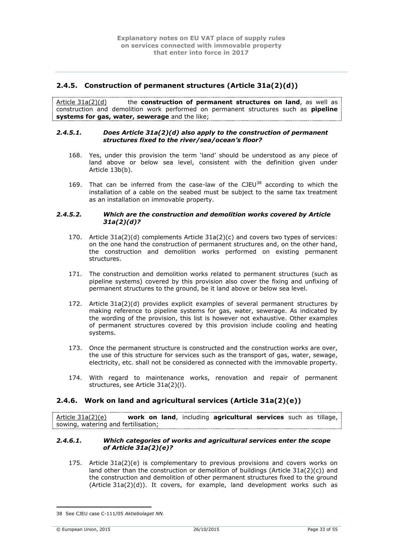# <span id="page-32-0"></span>**2.4.5. Construction of permanent structures (Article 31a(2)(d))**

Article 31a(2)(d) the **construction of permanent structures on land**, as well as construction and demolition work performed on permanent structures such as **pipeline systems for gas, water, sewerage** and the like;

#### <span id="page-32-1"></span>*2.4.5.1. Does Article 31a(2)(d) also apply to the construction of permanent structures fixed to the river/sea/ocean's floor?*

- 168. Yes, under this provision the term 'land' should be understood as any piece of land above or below sea level, consistent with the definition given under Article 13b(b).
- 169. That can be inferred from the case-law of the CJEU<sup>38</sup> according to which the installation of a cable on the seabed must be subject to the same tax treatment as an installation on immovable property.

#### <span id="page-32-2"></span>*2.4.5.2. Which are the construction and demolition works covered by Article 31a(2)(d)?*

- 170. Article 31a(2)(d) complements Article 31a(2)(c) and covers two types of services: on the one hand the construction of permanent structures and, on the other hand, the construction and demolition works performed on existing permanent structures.
- 171. The construction and demolition works related to permanent structures (such as pipeline systems) covered by this provision also cover the fixing and unfixing of permanent structures to the ground, be it land above or below sea level.
- 172. Article 31a(2)(d) provides explicit examples of several permanent structures by making reference to pipeline systems for gas, water, sewerage. As indicated by the wording of the provision, this list is however not exhaustive. Other examples of permanent structures covered by this provision include cooling and heating systems.
- <span id="page-32-5"></span>173. Once the permanent structure is constructed and the construction works are over, the use of this structure for services such as the transport of gas, water, sewage, electricity, etc. shall not be considered as connected with the immovable property.
- 174. With regard to maintenance works, renovation and repair of permanent structures, see Article 31a(2)(l).

# <span id="page-32-3"></span>**2.4.6. Work on land and agricultural services (Article 31a(2)(e))**

Article 31a(2)(e) **work on land**, including **agricultural services** such as tillage, sowing, watering and fertilisation;

#### <span id="page-32-4"></span>*2.4.6.1. Which categories of works and agricultural services enter the scope of Article 31a(2)(e)?*

175. Article 31a(2)(e) is complementary to previous provisions and covers works on land other than the construction or demolition of buildings (Article  $31a(2)(c)$ ) and the construction and demolition of other permanent structures fixed to the ground  $(A<sub>tr</sub> - A<sub>1</sub>(A<sub>1</sub> - A<sub>2</sub> - A<sub>3</sub>)$ . It covers, for example, land development works such as

<sup>1</sup> 38 See CJEU case C-111/05 *Aktiebolaget NN.*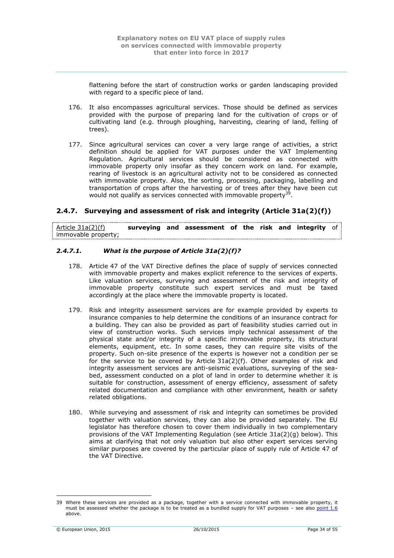flattening before the start of construction works or garden landscaping provided with regard to a specific piece of land.

- 176. It also encompasses agricultural services. Those should be defined as services provided with the purpose of preparing land for the cultivation of crops or of cultivating land (e.g. through ploughing, harvesting, clearing of land, felling of trees).
- 177. Since agricultural services can cover a very large range of activities, a strict definition should be applied for VAT purposes under the VAT Implementing Regulation. Agricultural services should be considered as connected with immovable property only insofar as they concern work on land. For example, rearing of livestock is an agricultural activity not to be considered as connected with immovable property. Also, the sorting, processing, packaging, labelling and transportation of crops after the harvesting or of trees after they have been cut would not qualify as services connected with immovable property<sup>39</sup>.

# <span id="page-33-0"></span>**2.4.7. Surveying and assessment of risk and integrity (Article 31a(2)(f))**

| Article $31a(2)(f)$ |  | surveying and assessment of the risk and integrity of |  |  |  |
|---------------------|--|-------------------------------------------------------|--|--|--|
| immovable property; |  |                                                       |  |  |  |

# <span id="page-33-1"></span>*2.4.7.1. What is the purpose of Article 31a(2)(f)?*

- 178. Article 47 of the VAT Directive defines the place of supply of services connected with immovable property and makes explicit reference to the services of experts. Like valuation services, surveying and assessment of the risk and integrity of immovable property constitute such expert services and must be taxed accordingly at the place where the immovable property is located.
- 179. Risk and integrity assessment services are for example provided by experts to insurance companies to help determine the conditions of an insurance contract for a building. They can also be provided as part of feasibility studies carried out in view of construction works. Such services imply technical assessment of the physical state and/or integrity of a specific immovable property, its structural elements, equipment, etc. In some cases, they can require site visits of the property. Such on-site presence of the experts is however not a condition per se for the service to be covered by Article 31a(2)(f). Other examples of risk and integrity assessment services are anti-seismic evaluations, surveying of the seabed, assessment conducted on a plot of land in order to determine whether it is suitable for construction, assessment of energy efficiency, assessment of safety related documentation and compliance with other environment, health or safety related obligations.
- 180. While surveying and assessment of risk and integrity can sometimes be provided together with valuation services, they can also be provided separately. The EU legislator has therefore chosen to cover them individually in two complementary provisions of the VAT Implementing Regulation (see Article 31a(2)(g) below). This aims at clarifying that not only valuation but also other expert services serving similar purposes are covered by the particular place of supply rule of Article 47 of the VAT Directive.

<u>.</u>

<sup>39</sup> Where these services are provided as a package, together with a service connected with immovable property, it must be assessed whether the package is to be treated as a bundled supply for VAT purposes – see also [point](#page-10-1) 1.6 above.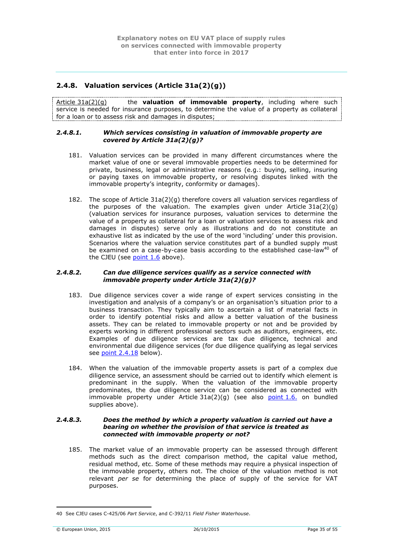# <span id="page-34-0"></span>**2.4.8. Valuation services (Article 31a(2)(g))**

Article 31a(2)(g) the **valuation of immovable property**, including where such service is needed for insurance purposes, to determine the value of a property as collateral for a loan or to assess risk and damages in disputes;

#### <span id="page-34-1"></span>*2.4.8.1. Which services consisting in valuation of immovable property are covered by Article 31a(2)(g)?*

- 181. Valuation services can be provided in many different circumstances where the market value of one or several immovable properties needs to be determined for private, business, legal or administrative reasons (e.g.: buying, selling, insuring or paying taxes on immovable property, or resolving disputes linked with the immovable property's integrity, conformity or damages).
- 182. The scope of Article 31a(2)(g) therefore covers all valuation services regardless of the purposes of the valuation. The examples given under Article  $31a(2)(q)$ (valuation services for insurance purposes, valuation services to determine the value of a property as collateral for a loan or valuation services to assess risk and damages in disputes) serve only as illustrations and do not constitute an exhaustive list as indicated by the use of the word 'including' under this provision. Scenarios where the valuation service constitutes part of a bundled supply must be examined on a case-by-case basis according to the established case-law<sup>40</sup> of the CJEU (see  $point 1.6$  above).

# <span id="page-34-2"></span>*2.4.8.2. Can due diligence services qualify as a service connected with immovable property under Article 31a(2)(g)?*

- 183. Due diligence services cover a wide range of expert services consisting in the investigation and analysis of a company's or an organisation's situation prior to a business transaction. They typically aim to ascertain a list of material facts in order to identify potential risks and allow a better valuation of the business assets. They can be related to immovable property or not and be provided by experts working in different professional sectors such as auditors, engineers, etc. Examples of due diligence services are tax due diligence, technical and environmental due diligence services (for due diligence qualifying as legal services see point [2.4.18](#page-45-1) below).
- 184. When the valuation of the immovable property assets is part of a complex due diligence service, an assessment should be carried out to identify which element is predominant in the supply. When the valuation of the immovable property predominates, the due diligence service can be considered as connected with immovable property under Article  $31a(2)(g)$  (see also [point](#page-10-1) 1.6. on bundled supplies above).

#### <span id="page-34-3"></span>*2.4.8.3. Does the method by which a property valuation is carried out have a bearing on whether the provision of that service is treated as connected with immovable property or not?*

185. The market value of an immovable property can be assessed through different methods such as the direct comparison method, the capital value method, residual method, etc. Some of these methods may require a physical inspection of the immovable property, others not. The choice of the valuation method is not relevant *per se* for determining the place of supply of the service for VAT purposes.

<sup>1</sup> 40 See CJEU cases C-425/06 *Part Service*, and C-392/11 *Field Fisher Waterhouse*.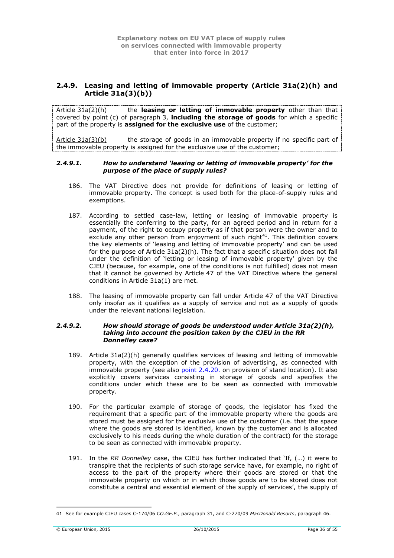# <span id="page-35-0"></span>**2.4.9. Leasing and letting of immovable property (Article 31a(2)(h) and Article 31a(3)(b))**

Article 31a(2)(h) the **leasing or letting of immovable property** other than that covered by point (c) of paragraph 3, **including the storage of goods** for which a specific part of the property is **assigned for the exclusive use** of the customer;

Article 31a(3)(b) the storage of goods in an immovable property if no specific part of the immovable property is assigned for the exclusive use of the customer;

#### <span id="page-35-1"></span>*2.4.9.1. How to understand 'leasing or letting of immovable property' for the purpose of the place of supply rules?*

- 186. The VAT Directive does not provide for definitions of leasing or letting of immovable property. The concept is used both for the place-of-supply rules and exemptions.
- 187. According to settled case-law, letting or leasing of immovable property is essentially the conferring to the party, for an agreed period and in return for a payment, of the right to occupy property as if that person were the owner and to  $\frac{1}{2}$  exclude any other person from enjoyment of such right<sup>41</sup>. This definition covers the key elements of 'leasing and letting of immovable property' and can be used for the purpose of Article 31a(2)(h). The fact that a specific situation does not fall under the definition of 'letting or leasing of immovable property' given by the CJEU (because, for example, one of the conditions is not fulfilled) does not mean that it cannot be governed by Article 47 of the VAT Directive where the general conditions in Article 31a(1) are met.
- 188. The leasing of immovable property can fall under Article 47 of the VAT Directive only insofar as it qualifies as a supply of service and not as a supply of goods under the relevant national legislation.

#### <span id="page-35-2"></span>*2.4.9.2. How should storage of goods be understood under Article 31a(2)(h), taking into account the position taken by the CJEU in the RR Donnelley case?*

- 189. Article 31a(2)(h) generally qualifies services of leasing and letting of immovable property, with the exception of the provision of advertising, as connected with immovable property (see also point [2.4.20.](#page-49-1) on provision of stand location). It also explicitly covers services consisting in storage of goods and specifies the conditions under which these are to be seen as connected with immovable property.
- 190. For the particular example of storage of goods, the legislator has fixed the requirement that a specific part of the immovable property where the goods are stored must be assigned for the exclusive use of the customer (i.e. that the space where the goods are stored is identified, known by the customer and is allocated exclusively to his needs during the whole duration of the contract) for the storage to be seen as connected with immovable property.
- 191. In the *RR Donnelley* case, the CJEU has further indicated that 'If, (…) it were to transpire that the recipients of such storage service have, for example, no right of access to the part of the property where their goods are stored or that the immovable property on which or in which those goods are to be stored does not constitute a central and essential element of the supply of services', the supply of

<sup>1</sup> 41 See for example CJEU cases C-174/06 *CO.GE.P.*, paragraph 31, and C-270/09 *MacDonald Resorts*, paragraph 46.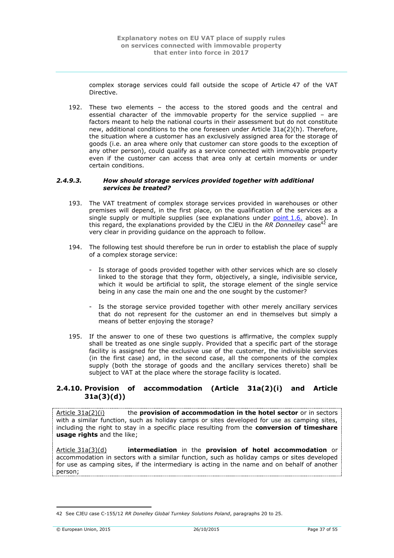complex storage services could fall outside the scope of Article 47 of the VAT Directive.

192. These two elements – the access to the stored goods and the central and essential character of the immovable property for the service supplied – are factors meant to help the national courts in their assessment but do not constitute new, additional conditions to the one foreseen under Article 31a(2)(h). Therefore, the situation where a customer has an exclusively assigned area for the storage of goods (i.e. an area where only that customer can store goods to the exception of any other person), could qualify as a service connected with immovable property even if the customer can access that area only at certain moments or under certain conditions.

#### <span id="page-36-0"></span>*2.4.9.3. How should storage services provided together with additional services be treated?*

- 193. The VAT treatment of complex storage services provided in warehouses or other premises will depend, in the first place, on the qualification of the services as a single supply or multiple supplies (see explanations under [point](#page-10-1)  $1.6$ , above). In this regard, the explanations provided by the CJEU in the *RR Donnelley* case<sup>42</sup> are very clear in providing guidance on the approach to follow.
- 194. The following test should therefore be run in order to establish the place of supply of a complex storage service:
	- Is storage of goods provided together with other services which are so closely linked to the storage that they form, objectively, a single, indivisible service, which it would be artificial to split, the storage element of the single service being in any case the main one and the one sought by the customer?
	- Is the storage service provided together with other merely ancillary services that do not represent for the customer an end in themselves but simply a means of better enjoying the storage?
- 195. If the answer to one of these two questions is affirmative, the complex supply shall be treated as one single supply. Provided that a specific part of the storage facility is assigned for the exclusive use of the customer, the indivisible services (in the first case) and, in the second case, all the components of the complex supply (both the storage of goods and the ancillary services thereto) shall be subject to VAT at the place where the storage facility is located.

# <span id="page-36-1"></span>**2.4.10. Provision of accommodation (Article 31a(2)(i) and Article 31a(3)(d))**

Article 31a(2)(i) the **provision of accommodation in the hotel sector** or in sectors with a similar function, such as holiday camps or sites developed for use as camping sites, including the right to stay in a specific place resulting from the **conversion of timeshare usage rights** and the like;

Article 31a(3)(d) **intermediation** in the **provision of hotel accommodation** or accommodation in sectors with a similar function, such as holiday camps or sites developed for use as camping sites, if the intermediary is acting in the name and on behalf of another person;

<sup>42</sup> See CJEU case C-155/12 *RR Donelley Global Turnkey Solutions Poland*, paragraphs 20 to 25.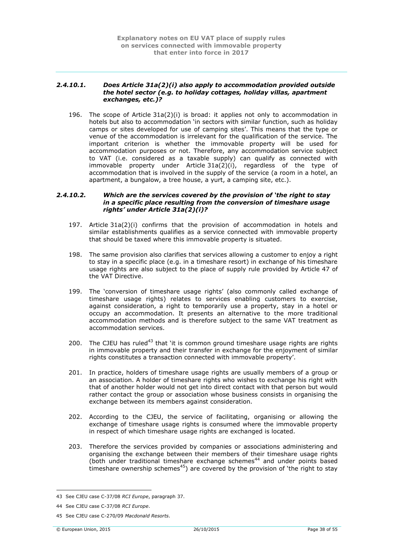#### <span id="page-37-0"></span>*2.4.10.1. Does Article 31a(2)(i) also apply to accommodation provided outside the hotel sector (e.g. to holiday cottages, holiday villas, apartment exchanges, etc.)?*

196. The scope of Article 31a(2)(i) is broad: it applies not only to accommodation in hotels but also to accommodation 'in sectors with similar function, such as holiday camps or sites developed for use of camping sites'. This means that the type or venue of the accommodation is irrelevant for the qualification of the service. The important criterion is whether the immovable property will be used for accommodation purposes or not. Therefore, any accommodation service subject to VAT (i.e. considered as a taxable supply) can qualify as connected with immovable property under Article 31a(2)(i), regardless of the type of accommodation that is involved in the supply of the service (a room in a hotel, an apartment, a bungalow, a tree house, a yurt, a camping site, etc.).

#### <span id="page-37-1"></span>*2.4.10.2. Which are the services covered by the provision of 'the right to stay in a specific place resulting from the conversion of timeshare usage rights' under Article 31a(2)(i)?*

- 197. Article 31a(2)(i) confirms that the provision of accommodation in hotels and similar establishments qualifies as a service connected with immovable property that should be taxed where this immovable property is situated.
- 198. The same provision also clarifies that services allowing a customer to enjoy a right to stay in a specific place (e.g. in a timeshare resort) in exchange of his timeshare usage rights are also subject to the place of supply rule provided by Article 47 of the VAT Directive.
- 199. The 'conversion of timeshare usage rights' (also commonly called exchange of timeshare usage rights) relates to services enabling customers to exercise, against consideration, a right to temporarily use a property, stay in a hotel or occupy an accommodation. It presents an alternative to the more traditional accommodation methods and is therefore subject to the same VAT treatment as accommodation services.
- 200. The CJEU has ruled<sup>43</sup> that 'it is common ground timeshare usage rights are rights in immovable property and their transfer in exchange for the enjoyment of similar rights constitutes a transaction connected with immovable property'.
- 201. In practice, holders of timeshare usage rights are usually members of a group or an association. A holder of timeshare rights who wishes to exchange his right with that of another holder would not get into direct contact with that person but would rather contact the group or association whose business consists in organising the exchange between its members against consideration.
- 202. According to the CJEU, the service of facilitating, organising or allowing the exchange of timeshare usage rights is consumed where the immovable property in respect of which timeshare usage rights are exchanged is located.
- 203. Therefore the services provided by companies or associations administering and organising the exchange between their members of their timeshare usage rights (both under traditional timeshare exchange schemes<sup>44</sup> and under points based timeshare ownership schemes<sup>45</sup>) are covered by the provision of 'the right to stay

<sup>43</sup> See CJEU case C-37/08 *RCI Europe*, paragraph 37.

<sup>44</sup> See CJEU case C-37/08 *RCI Europe*.

<sup>45</sup> See CJEU case C-270/09 *Macdonald Resorts*.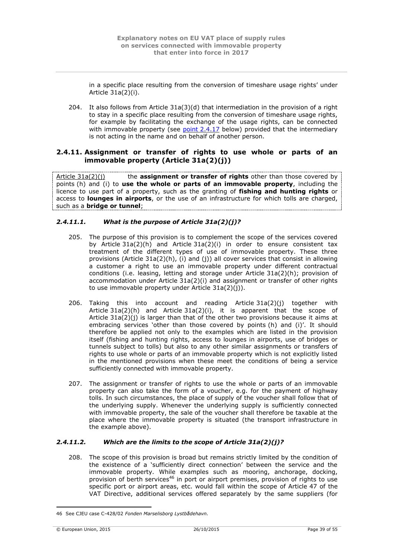in a specific place resulting from the conversion of timeshare usage rights' under Article 31a(2)(i).

204. It also follows from Article 31a(3)(d) that intermediation in the provision of a right to stay in a specific place resulting from the conversion of timeshare usage rights, for example by facilitating the exchange of the usage rights, can be connected with immovable property (see  $point$   $2.4.17$  below) provided that the intermediary is not acting in the name and on behalf of another person.

# <span id="page-38-0"></span>**2.4.11. Assignment or transfer of rights to use whole or parts of an immovable property (Article 31a(2)(j))**

Article 31a(2)(j) the **assignment or transfer of rights** other than those covered by points (h) and (i) to **use the whole or parts of an immovable property**, including the licence to use part of a property, such as the granting of **fishing and hunting rights** or access to **lounges in airports**, or the use of an infrastructure for which tolls are charged, such as a **bridge or tunnel**;

# <span id="page-38-1"></span>*2.4.11.1. What is the purpose of Article 31a(2)(j)?*

- 205. The purpose of this provision is to complement the scope of the services covered by Article 31a(2)(h) and Article 31a(2)(i) in order to ensure consistent tax treatment of the different types of use of immovable property. These three provisions (Article 31a(2)(h), (i) and (j)) all cover services that consist in allowing a customer a right to use an immovable property under different contractual conditions (i.e. leasing, letting and storage under Article 31a(2)(h); provision of accommodation under Article 31a(2)(i) and assignment or transfer of other rights to use immovable property under Article 31a(2)(j)).
- 206. Taking this into account and reading Article 31a(2)(j) together with Article  $31a(2)(h)$  and Article  $31a(2)(i)$ , it is apparent that the scope of Article  $31a(2)(j)$  is larger than that of the other two provisions because it aims at embracing services 'other than those covered by points (h) and (i)'. It should therefore be applied not only to the examples which are listed in the provision itself (fishing and hunting rights, access to lounges in airports, use of bridges or tunnels subject to tolls) but also to any other similar assignments or transfers of rights to use whole or parts of an immovable property which is not explicitly listed in the mentioned provisions when these meet the conditions of being a service sufficiently connected with immovable property.
- 207. The assignment or transfer of rights to use the whole or parts of an immovable property can also take the form of a voucher, e.g. for the payment of highway tolls. In such circumstances, the place of supply of the voucher shall follow that of the underlying supply. Whenever the underlying supply is sufficiently connected with immovable property, the sale of the voucher shall therefore be taxable at the place where the immovable property is situated (the transport infrastructure in the example above).

### <span id="page-38-2"></span>*2.4.11.2. Which are the limits to the scope of Article 31a(2)(j)?*

208. The scope of this provision is broad but remains strictly limited by the condition of the existence of a 'sufficiently direct connection' between the service and the immovable property. While examples such as mooring, anchorage, docking, provision of berth services<sup>46</sup> in port or airport premises, provision of rights to use specific port or airport areas, etc. would fall within the scope of Article 47 of the VAT Directive, additional services offered separately by the same suppliers (for

<sup>1</sup> 46 See CJEU case C-428/02 *Fonden Marselisborg Lystbådehavn.*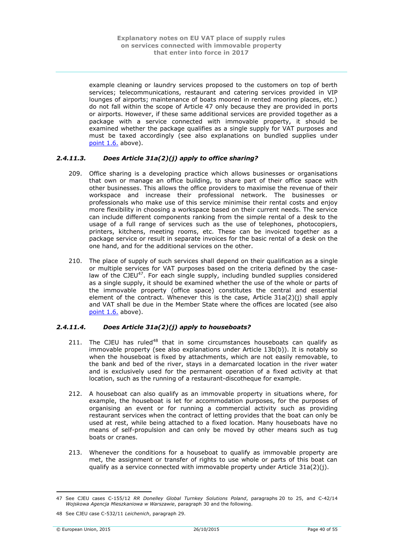example cleaning or laundry services proposed to the customers on top of berth services; telecommunications, restaurant and catering services provided in VIP lounges of airports; maintenance of boats moored in rented mooring places, etc.) do not fall within the scope of Article 47 only because they are provided in ports or airports. However, if these same additional services are provided together as a package with a service connected with immovable property, it should be examined whether the package qualifies as a single supply for VAT purposes and must be taxed accordingly (see also explanations on bundled supplies under [point](#page-10-1) 1.6. above).

# <span id="page-39-0"></span>*2.4.11.3. Does Article 31a(2)(j) apply to office sharing?*

- 209. Office sharing is a developing practice which allows businesses or organisations that own or manage an office building, to share part of their office space with other businesses. This allows the office providers to maximise the revenue of their workspace and increase their professional network. The businesses or professionals who make use of this service minimise their rental costs and enjoy more flexibility in choosing a workspace based on their current needs. The service can include different components ranking from the simple rental of a desk to the usage of a full range of services such as the use of telephones, photocopiers, printers, kitchens, meeting rooms, etc. These can be invoiced together as a package service or result in separate invoices for the basic rental of a desk on the one hand, and for the additional services on the other.
- 210. The place of supply of such services shall depend on their qualification as a single or multiple services for VAT purposes based on the criteria defined by the caselaw of the CJEU<sup>47</sup>. For each single supply, including bundled supplies considered as a single supply, it should be examined whether the use of the whole or parts of the immovable property (office space) constitutes the central and essential element of the contract. Whenever this is the case, Article  $31a(2)(i)$  shall apply and VAT shall be due in the Member State where the offices are located (see also [point](#page-10-1) 1.6. above).

### <span id="page-39-1"></span>*2.4.11.4. Does Article 31a(2)(j) apply to houseboats?*

- 211. The CJEU has ruled<sup>48</sup> that in some circumstances houseboats can qualify as immovable property (see also explanations under Article 13b(b)). It is notably so when the houseboat is fixed by attachments, which are not easily removable, to the bank and bed of the river, stays in a demarcated location in the river water and is exclusively used for the permanent operation of a fixed activity at that location, such as the running of a restaurant-discotheque for example.
- 212. A houseboat can also qualify as an immovable property in situations where, for example, the houseboat is let for accommodation purposes, for the purposes of organising an event or for running a commercial activity such as providing restaurant services when the contract of letting provides that the boat can only be used at rest, while being attached to a fixed location. Many houseboats have no means of self-propulsion and can only be moved by other means such as tug boats or cranes.
- 213. Whenever the conditions for a houseboat to qualify as immovable property are met, the assignment or transfer of rights to use whole or parts of this boat can qualify as a service connected with immovable property under Article 31a(2)(j).

<u>.</u>

<sup>47</sup> See CJEU cases C-155/12 *RR Donelley Global Turnkey Solutions Poland*, paragraphs 20 to 25, and C-42/14 *Wojskowa Agencja Mieszkaniowa w Warszawie*, paragraph 30 and the following.

<sup>48</sup> See CJEU case C-532/11 *Leichenich*, paragraph 29.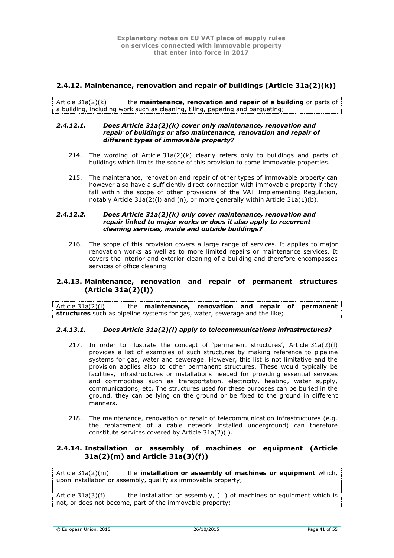# <span id="page-40-0"></span>**2.4.12. Maintenance, renovation and repair of buildings (Article 31a(2)(k))**

Article 31a(2)(k) the **maintenance, renovation and repair of a building** or parts of a building, including work such as cleaning, tiling, papering and parqueting;

#### <span id="page-40-1"></span>*2.4.12.1. Does Article 31a(2)(k) cover only maintenance, renovation and repair of buildings or also maintenance, renovation and repair of different types of immovable property?*

- 214. The wording of Article  $31a(2)(k)$  clearly refers only to buildings and parts of buildings which limits the scope of this provision to some immovable properties.
- 215. The maintenance, renovation and repair of other types of immovable property can however also have a sufficiently direct connection with immovable property if they fall within the scope of other provisions of the VAT Implementing Regulation, notably Article 31a(2)(l) and (n), or more generally within Article 31a(1)(b).

### <span id="page-40-2"></span>*2.4.12.2. Does Article 31a(2)(k) only cover maintenance, renovation and repair linked to major works or does it also apply to recurrent cleaning services, inside and outside buildings?*

216. The scope of this provision covers a large range of services. It applies to major renovation works as well as to more limited repairs or maintenance services. It covers the interior and exterior cleaning of a building and therefore encompasses services of office cleaning.

# <span id="page-40-3"></span>**2.4.13. Maintenance, renovation and repair of permanent structures (Article 31a(2)(l))**

Article 31a(2)(l) the **maintenance, renovation and repair of permanent structures** such as pipeline systems for gas, water, sewerage and the like;

### <span id="page-40-4"></span>*2.4.13.1. Does Article 31a(2)(l) apply to telecommunications infrastructures?*

- 217. In order to illustrate the concept of 'permanent structures', Article 31a(2)(l) provides a list of examples of such structures by making reference to pipeline systems for gas, water and sewerage. However, this list is not limitative and the provision applies also to other permanent structures. These would typically be facilities, infrastructures or installations needed for providing essential services and commodities such as transportation, electricity, heating, water supply, communications, etc. The structures used for these purposes can be buried in the ground, they can be lying on the ground or be fixed to the ground in different manners.
- 218. The maintenance, renovation or repair of telecommunication infrastructures (e.g. the replacement of a cable network installed underground) can therefore constitute services covered by Article 31a(2)(l).

# <span id="page-40-5"></span>**2.4.14. Installation or assembly of machines or equipment (Article 31a(2)(m) and Article 31a(3)(f))**

Article 31a(2)(m) the **installation or assembly of machines or equipment** which, upon installation or assembly, qualify as immovable property;

Article  $31a(3)(f)$  the installation or assembly, (...) of machines or equipment which is not, or does not become, part of the immovable property;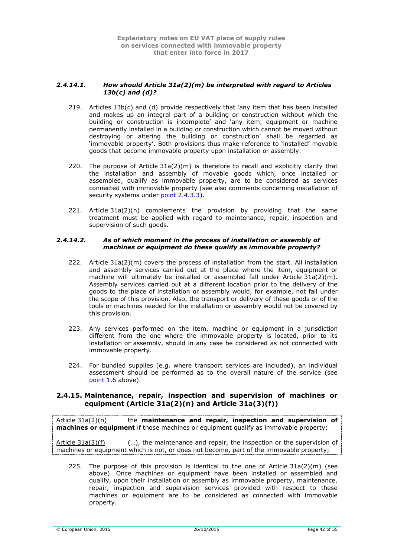### <span id="page-41-0"></span>*2.4.14.1. How should Article 31a(2)(m) be interpreted with regard to Articles 13b(c) and (d)?*

- 219. Articles 13b(c) and (d) provide respectively that 'any item that has been installed and makes up an integral part of a building or construction without which the building or construction is incomplete' and 'any item, equipment or machine permanently installed in a building or construction which cannot be moved without destroying or altering the building or construction' shall be regarded as 'immovable property'. Both provisions thus make reference to 'installed' movable goods that become immovable property upon installation or assembly.
- 220. The purpose of Article  $31a(2)(m)$  is therefore to recall and explicitly clarify that the installation and assembly of movable goods which, once installed or assembled, qualify as immovable property, are to be considered as services connected with immovable property (see also comments concerning installation of security systems under point [2.4.3.3\)](#page-30-1).
- 221. Article 31a(2)(n) complements the provision by providing that the same treatment must be applied with regard to maintenance, repair, inspection and supervision of such goods.

#### <span id="page-41-1"></span>*2.4.14.2. As of which moment in the process of installation or assembly of machines or equipment do these qualify as immovable property?*

- 222. Article 31a(2)(m) covers the process of installation from the start. All installation and assembly services carried out at the place where the item, equipment or machine will ultimately be installed or assembled fall under Article 31a(2)(m). Assembly services carried out at a different location prior to the delivery of the goods to the place of installation or assembly would, for example, not fall under the scope of this provision. Also, the transport or delivery of these goods or of the tools or machines needed for the installation or assembly would not be covered by this provision.
- 223. Any services performed on the item, machine or equipment in a jurisdiction different from the one where the immovable property is located, prior to its installation or assembly, should in any case be considered as not connected with immovable property.
- 224. For bundled supplies (e.g. where transport services are included), an individual assessment should be performed as to the overall nature of the service (see [point](#page-10-1) 1.6 above).

# <span id="page-41-2"></span>**2.4.15. Maintenance, repair, inspection and supervision of machines or equipment (Article 31a(2)(n) and Article 31a(3)(f))**

Article 31a(2)(n) the **maintenance and repair, inspection and supervision of machines or equipment** if those machines or equipment qualify as immovable property;

Article 31a(3)(f) (…), the maintenance and repair, the inspection or the supervision of machines or equipment which is not, or does not become, part of the immovable property;

225. The purpose of this provision is identical to the one of Article  $31a(2)(m)$  (see above). Once machines or equipment have been installed or assembled and qualify, upon their installation or assembly as immovable property, maintenance, repair, inspection and supervision services provided with respect to these machines or equipment are to be considered as connected with immovable property.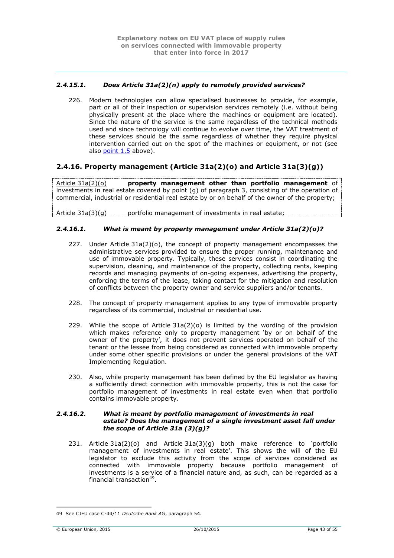# <span id="page-42-0"></span>*2.4.15.1. Does Article 31a(2)(n) apply to remotely provided services?*

226. Modern technologies can allow specialised businesses to provide, for example, part or all of their inspection or supervision services remotely (i.e. without being physically present at the place where the machines or equipment are located). Since the nature of the service is the same regardless of the technical methods used and since technology will continue to evolve over time, the VAT treatment of these services should be the same regardless of whether they require physical intervention carried out on the spot of the machines or equipment, or not (see also [point](#page-10-0) 1.5 above).

# <span id="page-42-1"></span>**2.4.16. Property management (Article 31a(2)(o) and Article 31a(3)(g))**

Article 31a(2)(o) **property management other than portfolio management** of investments in real estate covered by point (g) of paragraph 3, consisting of the operation of commercial, industrial or residential real estate by or on behalf of the owner of the property;

Article 31a(3)(g) portfolio management of investments in real estate;

### <span id="page-42-2"></span>*2.4.16.1. What is meant by property management under Article 31a(2)(o)?*

- 227. Under Article  $31a(2)(o)$ , the concept of property management encompasses the administrative services provided to ensure the proper running, maintenance and use of immovable property. Typically, these services consist in coordinating the supervision, cleaning, and maintenance of the property, collecting rents, keeping records and managing payments of on-going expenses, advertising the property, enforcing the terms of the lease, taking contact for the mitigation and resolution of conflicts between the property owner and service suppliers and/or tenants.
- 228. The concept of property management applies to any type of immovable property regardless of its commercial, industrial or residential use.
- 229. While the scope of Article 31a(2)(o) is limited by the wording of the provision which makes reference only to property management 'by or on behalf of the owner of the property', it does not prevent services operated on behalf of the tenant or the lessee from being considered as connected with immovable property under some other specific provisions or under the general provisions of the VAT Implementing Regulation.
- 230. Also, while property management has been defined by the EU legislator as having a sufficiently direct connection with immovable property, this is not the case for portfolio management of investments in real estate even when that portfolio contains immovable property.

#### <span id="page-42-3"></span>*2.4.16.2. What is meant by portfolio management of investments in real estate? Does the management of a single investment asset fall under the scope of Article 31a (3)(g)?*

231. Article 31a(2)(o) and Article 31a(3)(g) both make reference to 'portfolio management of investments in real estate'. This shows the will of the EU legislator to exclude this activity from the scope of services considered as connected with immovable property because portfolio management of investments is a service of a financial nature and, as such, can be regarded as a financial transaction<sup>49</sup>.

<sup>1</sup> 49 See CJEU case C-44/11 *Deutsche Bank AG*, paragraph 54.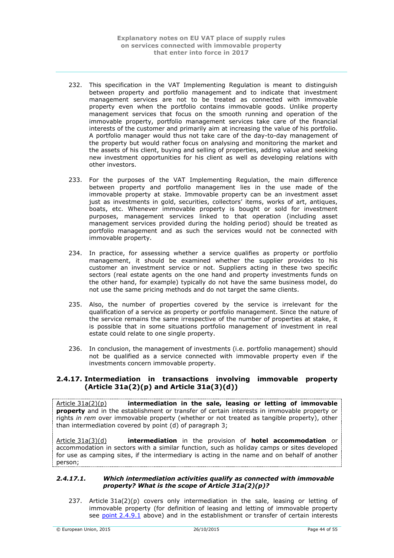- 232. This specification in the VAT Implementing Regulation is meant to distinguish between property and portfolio management and to indicate that investment management services are not to be treated as connected with immovable property even when the portfolio contains immovable goods. Unlike property management services that focus on the smooth running and operation of the immovable property, portfolio management services take care of the financial interests of the customer and primarily aim at increasing the value of his portfolio. A portfolio manager would thus not take care of the day-to-day management of the property but would rather focus on analysing and monitoring the market and the assets of his client, buying and selling of properties, adding value and seeking new investment opportunities for his client as well as developing relations with other investors.
- 233. For the purposes of the VAT Implementing Regulation, the main difference between property and portfolio management lies in the use made of the immovable property at stake. Immovable property can be an investment asset just as investments in gold, securities, collectors' items, works of art, antiques, boats, etc. Whenever immovable property is bought or sold for investment purposes, management services linked to that operation (including asset management services provided during the holding period) should be treated as portfolio management and as such the services would not be connected with immovable property.
- 234. In practice, for assessing whether a service qualifies as property or portfolio management, it should be examined whether the supplier provides to his customer an investment service or not. Suppliers acting in these two specific sectors (real estate agents on the one hand and property investments funds on the other hand, for example) typically do not have the same business model, do not use the same pricing methods and do not target the same clients.
- 235. Also, the number of properties covered by the service is irrelevant for the qualification of a service as property or portfolio management. Since the nature of the service remains the same irrespective of the number of properties at stake, it is possible that in some situations portfolio management of investment in real estate could relate to one single property.
- 236. In conclusion, the management of investments (i.e. portfolio management) should not be qualified as a service connected with immovable property even if the investments concern immovable property.

# <span id="page-43-0"></span>**2.4.17. Intermediation in transactions involving immovable property (Article 31a(2)(p) and Article 31a(3)(d))**

Article 31a(2)(p) **intermediation in the sale, leasing or letting of immovable property** and in the establishment or transfer of certain interests in immovable property or rights *in rem* over immovable property (whether or not treated as tangible property), other than intermediation covered by point (d) of paragraph 3;

Article 31a(3)(d) **intermediation** in the provision of **hotel accommodation** or accommodation in sectors with a similar function, such as holiday camps or sites developed for use as camping sites, if the intermediary is acting in the name and on behalf of another person;

### <span id="page-43-1"></span>*2.4.17.1. Which intermediation activities qualify as connected with immovable property? What is the scope of Article 31a(2)(p)?*

237. Article 31a(2)(p) covers only intermediation in the sale, leasing or letting of immovable property (for definition of leasing and letting of immovable property see point [2.4.9.1](#page-35-1) above) and in the establishment or transfer of certain interests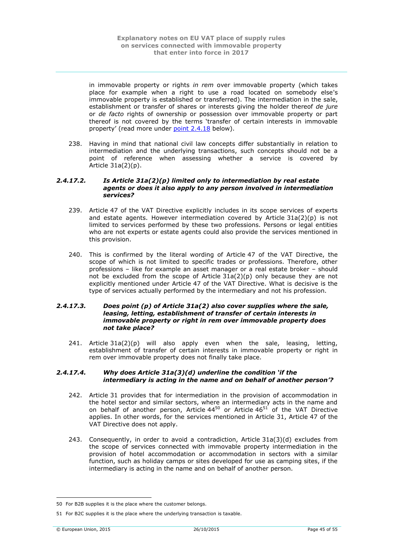in immovable property or rights *in rem* over immovable property (which takes place for example when a right to use a road located on somebody else's immovable property is established or transferred). The intermediation in the sale, establishment or transfer of shares or interests giving the holder thereof *de jure* or *de facto* rights of ownership or possession over immovable property or part thereof is not covered by the terms 'transfer of certain interests in immovable property' (read more under point [2.4.18](#page-45-1) below).

238. Having in mind that national civil law concepts differ substantially in relation to intermediation and the underlying transactions, such concepts should not be a point of reference when assessing whether a service is covered by Article 31a(2)(p).

#### <span id="page-44-0"></span>*2.4.17.2. Is Article 31a(2)(p) limited only to intermediation by real estate agents or does it also apply to any person involved in intermediation services?*

- 239. Article 47 of the VAT Directive explicitly includes in its scope services of experts and estate agents. However intermediation covered by Article 31a(2)(p) is not limited to services performed by these two professions. Persons or legal entities who are not experts or estate agents could also provide the services mentioned in this provision.
- 240. This is confirmed by the literal wording of Article 47 of the VAT Directive, the scope of which is not limited to specific trades or professions. Therefore, other professions – like for example an asset manager or a real estate broker – should not be excluded from the scope of Article  $31a(2)(p)$  only because they are not explicitly mentioned under Article 47 of the VAT Directive. What is decisive is the type of services actually performed by the intermediary and not his profession.

#### <span id="page-44-1"></span>*2.4.17.3. Does point (p) of Article 31a(2) also cover supplies where the sale, leasing, letting, establishment of transfer of certain interests in immovable property or right in rem over immovable property does not take place?*

241. Article  $31a(2)(p)$  will also apply even when the sale, leasing, letting, establishment of transfer of certain interests in immovable property or right in rem over immovable property does not finally take place.

### <span id="page-44-2"></span>*2.4.17.4. Why does Article 31a(3)(d) underline the condition 'if the intermediary is acting in the name and on behalf of another person'?*

- 242. Article 31 provides that for intermediation in the provision of accommodation in the hotel sector and similar sectors, where an intermediary acts in the name and on behalf of another person, Article  $44^{50}$  or Article  $46^{51}$  of the VAT Directive applies. In other words, for the services mentioned in Article 31, Article 47 of the VAT Directive does not apply.
- 243. Consequently, in order to avoid a contradiction, Article  $31a(3)(d)$  excludes from the scope of services connected with immovable property intermediation in the provision of hotel accommodation or accommodation in sectors with a similar function, such as holiday camps or sites developed for use as camping sites, if the intermediary is acting in the name and on behalf of another person.

<sup>1</sup> 50 For B2B supplies it is the place where the customer belongs.

<sup>51</sup> For B2C supplies it is the place where the underlying transaction is taxable.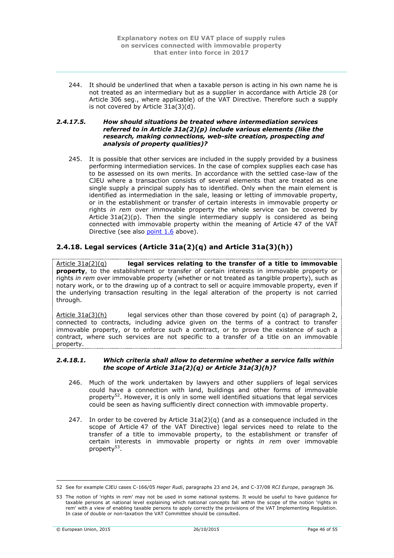244. It should be underlined that when a taxable person is acting in his own name he is not treated as an intermediary but as a supplier in accordance with Article 28 (or Article 306 seg., where applicable) of the VAT Directive. Therefore such a supply is not covered by Article 31a(3)(d).

#### <span id="page-45-0"></span>*2.4.17.5. How should situations be treated where intermediation services referred to in Article 31a(2)(p) include various elements (like the research, making connections, web-site creation, prospecting and analysis of property qualities)?*

245. It is possible that other services are included in the supply provided by a business performing intermediation services. In the case of complex supplies each case has to be assessed on its own merits. In accordance with the settled case-law of the CJEU where a transaction consists of several elements that are treated as one single supply a principal supply has to identified. Only when the main element is identified as intermediation in the sale, leasing or letting of immovable property, or in the establishment or transfer of certain interests in immovable property or rights *in rem* over immovable property the whole service can be covered by Article  $31a(2)(p)$ . Then the single intermediary supply is considered as being connected with immovable property within the meaning of Article 47 of the VAT Directive (see also [point](#page-10-1) 1.6 above).

# <span id="page-45-1"></span>**2.4.18. Legal services (Article 31a(2)(q) and Article 31a(3)(h))**

Article 31a(2)(q) **legal services relating to the transfer of a title to immovable property**, to the establishment or transfer of certain interests in immovable property or rights *in rem* over immovable property (whether or not treated as tangible property), such as notary work, or to the drawing up of a contract to sell or acquire immovable property, even if the underlying transaction resulting in the legal alteration of the property is not carried through.

 $Article 31a(3)(h)$  legal services other than those covered by point (q) of paragraph 2, connected to contracts, including advice given on the terms of a contract to transfer immovable property, or to enforce such a contract, or to prove the existence of such a contract, where such services are not specific to a transfer of a title on an immovable property.

#### <span id="page-45-2"></span>*2.4.18.1. Which criteria shall allow to determine whether a service falls within the scope of Article 31a(2)(q) or Article 31a(3)(h)?*

- 246. Much of the work undertaken by lawyers and other suppliers of legal services could have a connection with land, buildings and other forms of immovable property<sup>52</sup>. However, it is only in some well identified situations that legal services could be seen as having sufficiently direct connection with immovable property.
- 247. In order to be covered by Article 31a(2)(q) (and as a consequence included in the scope of Article 47 of the VAT Directive) legal services need to relate to the transfer of a title to immovable property, to the establishment or transfer of certain interests in immovable property or rights *in rem* over immovable property<sup>53</sup>.

<sup>52</sup> See for example CJEU cases C-166/05 *Heger Rudi*, paragraphs 23 and 24, and C-37/08 *RCI Europe*, paragraph 36.

<sup>53</sup> The notion of 'rights in rem' may not be used in some national systems. It would be useful to have guidance for taxable persons at national level explaining which national concepts fall within the scope of the notion 'rights in rem' with a view of enabling taxable persons to apply correctly the provisions of the VAT Implementing Regulation. In case of double or non-taxation the VAT Committee should be consulted.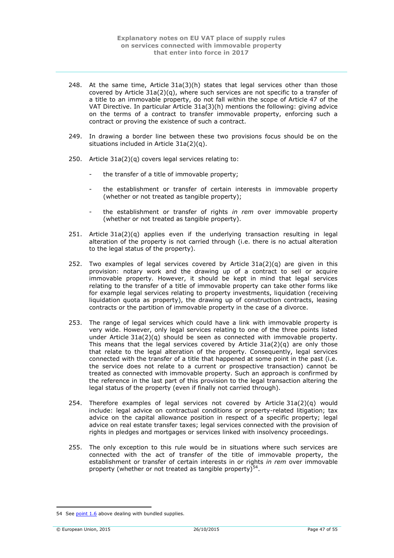- 248. At the same time, Article  $31a(3)(h)$  states that legal services other than those covered by Article 31a(2)(q), where such services are not specific to a transfer of a title to an immovable property, do not fall within the scope of Article 47 of the VAT Directive. In particular Article 31a(3)(h) mentions the following: giving advice on the terms of a contract to transfer immovable property, enforcing such a contract or proving the existence of such a contract.
- 249. In drawing a border line between these two provisions focus should be on the situations included in Article 31a(2)(q).
- 250. Article 31a(2)(q) covers legal services relating to:
	- the transfer of a title of immovable property;
	- the establishment or transfer of certain interests in immovable property (whether or not treated as tangible property);
	- the establishment or transfer of rights *in rem* over immovable property (whether or not treated as tangible property).
- 251. Article  $31a(2)(q)$  applies even if the underlying transaction resulting in legal alteration of the property is not carried through (i.e. there is no actual alteration to the legal status of the property).
- 252. Two examples of legal services covered by Article  $31a(2)(q)$  are given in this provision: notary work and the drawing up of a contract to sell or acquire immovable property. However, it should be kept in mind that legal services relating to the transfer of a title of immovable property can take other forms like for example legal services relating to property investments, liquidation (receiving liquidation quota as property), the drawing up of construction contracts, leasing contracts or the partition of immovable property in the case of a divorce.
- 253. The range of legal services which could have a link with immovable property is very wide. However, only legal services relating to one of the three points listed under Article 31a(2)(q) should be seen as connected with immovable property. This means that the legal services covered by Article  $31a(2)(q)$  are only those that relate to the legal alteration of the property. Consequently, legal services connected with the transfer of a title that happened at some point in the past (i.e. the service does not relate to a current or prospective transaction) cannot be treated as connected with immovable property. Such an approach is confirmed by the reference in the last part of this provision to the legal transaction altering the legal status of the property (even if finally not carried through).
- 254. Therefore examples of legal services not covered by Article 31a(2)(q) would include: legal advice on contractual conditions or property-related litigation; tax advice on the capital allowance position in respect of a specific property; legal advice on real estate transfer taxes; legal services connected with the provision of rights in pledges and mortgages or services linked with insolvency proceedings.
- 255. The only exception to this rule would be in situations where such services are connected with the act of transfer of the title of immovable property, the establishment or transfer of certain interests in or rights *in rem* over immovable property (whether or not treated as tangible property) $54$ .

<sup>54</sup> See [point](#page-10-1) 1.6 above dealing with bundled supplies.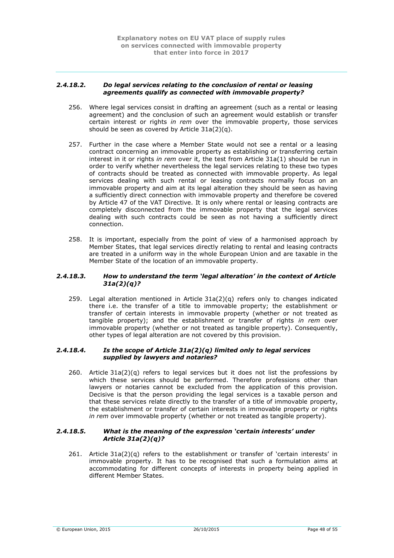#### <span id="page-47-0"></span>*2.4.18.2. Do legal services relating to the conclusion of rental or leasing agreements qualify as connected with immovable property?*

- 256. Where legal services consist in drafting an agreement (such as a rental or leasing agreement) and the conclusion of such an agreement would establish or transfer certain interest or rights *in rem* over the immovable property, those services should be seen as covered by Article 31a(2)(q).
- 257. Further in the case where a Member State would not see a rental or a leasing contract concerning an immovable property as establishing or transferring certain interest in it or rights *in rem* over it, the test from Article 31a(1) should be run in order to verify whether nevertheless the legal services relating to these two types of contracts should be treated as connected with immovable property. As legal services dealing with such rental or leasing contracts normally focus on an immovable property and aim at its legal alteration they should be seen as having a sufficiently direct connection with immovable property and therefore be covered by Article 47 of the VAT Directive. It is only where rental or leasing contracts are completely disconnected from the immovable property that the legal services dealing with such contracts could be seen as not having a sufficiently direct connection.
- 258. It is important, especially from the point of view of a harmonised approach by Member States, that legal services directly relating to rental and leasing contracts are treated in a uniform way in the whole European Union and are taxable in the Member State of the location of an immovable property.

## <span id="page-47-1"></span>*2.4.18.3. How to understand the term 'legal alteration' in the context of Article 31a(2)(q)?*

259. Legal alteration mentioned in Article 31a(2)(q) refers only to changes indicated there i.e. the transfer of a title to immovable property; the establishment or transfer of certain interests in immovable property (whether or not treated as tangible property); and the establishment or transfer of rights *in rem* over immovable property (whether or not treated as tangible property). Consequently, other types of legal alteration are not covered by this provision.

## <span id="page-47-2"></span>*2.4.18.4. Is the scope of Article 31a(2)(q) limited only to legal services supplied by lawyers and notaries?*

260. Article 31a(2)(q) refers to legal services but it does not list the professions by which these services should be performed. Therefore professions other than lawyers or notaries cannot be excluded from the application of this provision. Decisive is that the person providing the legal services is a taxable person and that these services relate directly to the transfer of a title of immovable property, the establishment or transfer of certain interests in immovable property or rights *in rem* over immovable property (whether or not treated as tangible property).

#### <span id="page-47-3"></span>*2.4.18.5. What is the meaning of the expression 'certain interests' under Article 31a(2)(q)?*

261. Article 31a(2)(q) refers to the establishment or transfer of 'certain interests' in immovable property. It has to be recognised that such a formulation aims at accommodating for different concepts of interests in property being applied in different Member States.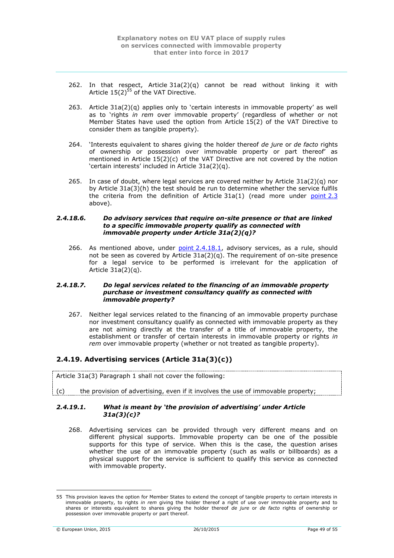- 262. In that respect, Article  $31a(2)(q)$  cannot be read without linking it with Article  $15(2)^{55}$  of the VAT Directive.
- 263. Article 31a(2)(q) applies only to 'certain interests in immovable property' as well as to 'rights *in rem* over immovable property' (regardless of whether or not Member States have used the option from Article 15(2) of the VAT Directive to consider them as tangible property).
- 264. 'Interests equivalent to shares giving the holder thereof *de jure* or *de facto* rights of ownership or possession over immovable property or part thereof' as mentioned in Article 15(2)(c) of the VAT Directive are not covered by the notion 'certain interests' included in Article 31a(2)(q).
- 265. In case of doubt, where legal services are covered neither by Article 31a(2)(q) nor by Article 31a(3)(h) the test should be run to determine whether the service fulfils the criteria from the definition of Article  $31a(1)$  (read more under  $point 2.3$  $point 2.3$ above).

#### <span id="page-48-0"></span>*2.4.18.6. Do advisory services that require on-site presence or that are linked to a specific immovable property qualify as connected with immovable property under Article 31a(2)(q)?*

266. As mentioned above, under point [2.4.18.1,](#page-45-2) advisory services, as a rule, should not be seen as covered by Article 31a(2)(q). The requirement of on-site presence for a legal service to be performed is irrelevant for the application of Article 31a(2)(q).

#### <span id="page-48-1"></span>*2.4.18.7. Do legal services related to the financing of an immovable property purchase or investment consultancy qualify as connected with immovable property?*

267. Neither legal services related to the financing of an immovable property purchase nor investment consultancy qualify as connected with immovable property as they are not aiming directly at the transfer of a title of immovable property, the establishment or transfer of certain interests in immovable property or rights *in rem* over immovable property (whether or not treated as tangible property).

# <span id="page-48-2"></span>**2.4.19. Advertising services (Article 31a(3)(c))**

Article 31a(3) Paragraph 1 shall not cover the following:

 $(c)$  the provision of advertising, even if it involves the use of immovable property;

### <span id="page-48-3"></span>*2.4.19.1. What is meant by 'the provision of advertising' under Article 31a(3)(c)?*

268. Advertising services can be provided through very different means and on different physical supports. Immovable property can be one of the possible supports for this type of service. When this is the case, the question arises whether the use of an immovable property (such as walls or billboards) as a physical support for the service is sufficient to qualify this service as connected with immovable property.

<sup>1</sup> 55 This provision leaves the option for Member States to extend the concept of tangible property to certain interests in immovable property, to rights *in rem* giving the holder thereof a right of use over immovable property and to shares or interests equivalent to shares giving the holder thereof *de jure* or *de facto* rights of ownership or possession over immovable property or part thereof.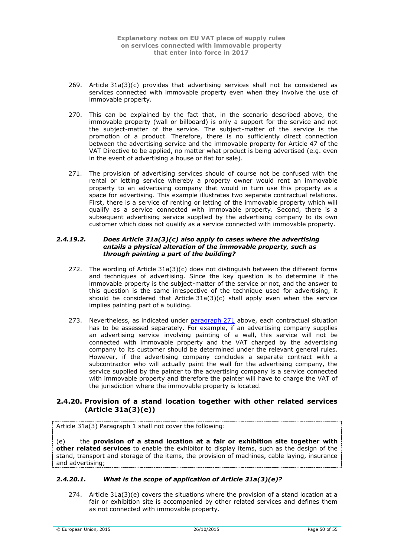- 269. Article 31a(3)(c) provides that advertising services shall not be considered as services connected with immovable property even when they involve the use of immovable property.
- 270. This can be explained by the fact that, in the scenario described above, the immovable property (wall or billboard) is only a support for the service and not the subject-matter of the service. The subject-matter of the service is the promotion of a product. Therefore, there is no sufficiently direct connection between the advertising service and the immovable property for Article 47 of the VAT Directive to be applied, no matter what product is being advertised (e.g. even in the event of advertising a house or flat for sale).
- <span id="page-49-3"></span>271. The provision of advertising services should of course not be confused with the rental or letting service whereby a property owner would rent an immovable property to an advertising company that would in turn use this property as a space for advertising. This example illustrates two separate contractual relations. First, there is a service of renting or letting of the immovable property which will qualify as a service connected with immovable property. Second, there is a subsequent advertising service supplied by the advertising company to its own customer which does not qualify as a service connected with immovable property.

#### <span id="page-49-0"></span>*2.4.19.2. Does Article 31a(3)(c) also apply to cases where the advertising entails a physical alteration of the immovable property, such as through painting a part of the building?*

- 272. The wording of Article  $31a(3)(c)$  does not distinguish between the different forms and techniques of advertising. Since the key question is to determine if the immovable property is the subject-matter of the service or not, and the answer to this question is the same irrespective of the technique used for advertising, it should be considered that Article  $31a(3)(c)$  shall apply even when the service implies painting part of a building.
- 273. Nevertheless, as indicated under [paragraph](#page-49-3) 271 above, each contractual situation has to be assessed separately. For example, if an advertising company supplies an advertising service involving painting of a wall, this service will not be connected with immovable property and the VAT charged by the advertising company to its customer should be determined under the relevant general rules. However, if the advertising company concludes a separate contract with a subcontractor who will actually paint the wall for the advertising company, the service supplied by the painter to the advertising company is a service connected with immovable property and therefore the painter will have to charge the VAT of the jurisdiction where the immovable property is located.

# <span id="page-49-1"></span>**2.4.20. Provision of a stand location together with other related services (Article 31a(3)(e))**

Article 31a(3) Paragraph 1 shall not cover the following:

(e) the **provision of a stand location at a fair or exhibition site together with other related services** to enable the exhibitor to display items, such as the design of the stand, transport and storage of the items, the provision of machines, cable laying, insurance and advertising;

# <span id="page-49-2"></span>*2.4.20.1. What is the scope of application of Article 31a(3)(e)?*

274. Article  $31a(3)(e)$  covers the situations where the provision of a stand location at a fair or exhibition site is accompanied by other related services and defines them as not connected with immovable property.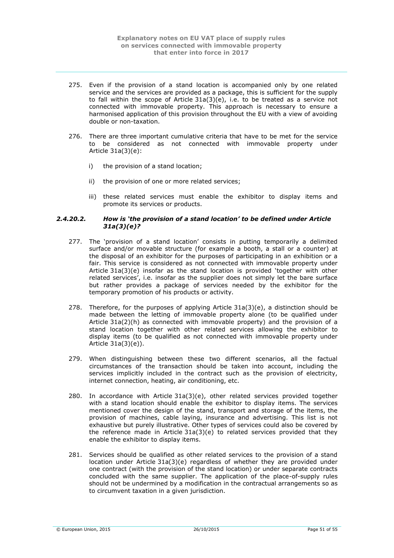- 275. Even if the provision of a stand location is accompanied only by one related service and the services are provided as a package, this is sufficient for the supply to fall within the scope of Article 31a(3)(e), i.e. to be treated as a service not connected with immovable property. This approach is necessary to ensure a harmonised application of this provision throughout the EU with a view of avoiding double or non-taxation.
- 276. There are three important cumulative criteria that have to be met for the service to be considered as not connected with immovable property under Article 31a(3)(e):
	- i) the provision of a stand location;
	- ii) the provision of one or more related services;
	- iii) these related services must enable the exhibitor to display items and promote its services or products.

### <span id="page-50-0"></span>*2.4.20.2. How is 'the provision of a stand location' to be defined under Article 31a(3)(e)?*

- 277. The 'provision of a stand location' consists in putting temporarily a delimited surface and/or movable structure (for example a booth, a stall or a counter) at the disposal of an exhibitor for the purposes of participating in an exhibition or a fair. This service is considered as not connected with immovable property under Article 31a(3)(e) insofar as the stand location is provided 'together with other related services', i.e. insofar as the supplier does not simply let the bare surface but rather provides a package of services needed by the exhibitor for the temporary promotion of his products or activity.
- 278. Therefore, for the purposes of applying Article  $31a(3)(e)$ , a distinction should be made between the letting of immovable property alone (to be qualified under Article 31a(2)(h) as connected with immovable property) and the provision of a stand location together with other related services allowing the exhibitor to display items (to be qualified as not connected with immovable property under Article 31a(3)(e)).
- 279. When distinguishing between these two different scenarios, all the factual circumstances of the transaction should be taken into account, including the services implicitly included in the contract such as the provision of electricity, internet connection, heating, air conditioning, etc.
- 280. In accordance with Article 31a(3)(e), other related services provided together with a stand location should enable the exhibitor to display items. The services mentioned cover the design of the stand, transport and storage of the items, the provision of machines, cable laying, insurance and advertising. This list is not exhaustive but purely illustrative. Other types of services could also be covered by the reference made in Article 31a(3)(e) to related services provided that they enable the exhibitor to display items.
- 281. Services should be qualified as other related services to the provision of a stand location under Article 31a(3)(e) regardless of whether they are provided under one contract (with the provision of the stand location) or under separate contracts concluded with the same supplier. The application of the place-of-supply rules should not be undermined by a modification in the contractual arrangements so as to circumvent taxation in a given jurisdiction.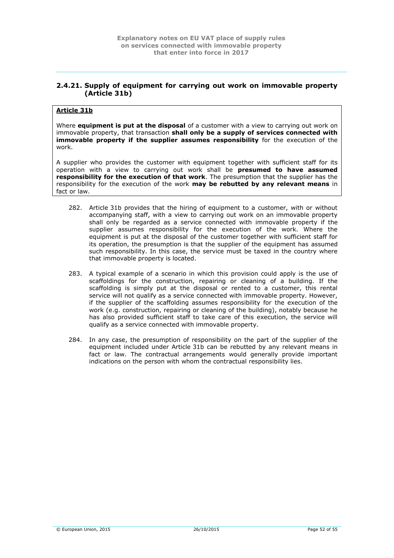# <span id="page-51-0"></span>**2.4.21. Supply of equipment for carrying out work on immovable property (Article 31b)**

# **Article 31b**

Where **equipment is put at the disposal** of a customer with a view to carrying out work on immovable property, that transaction **shall only be a supply of services connected with immovable property if the supplier assumes responsibility** for the execution of the work.

A supplier who provides the customer with equipment together with sufficient staff for its operation with a view to carrying out work shall be **presumed to have assumed responsibility for the execution of that work**. The presumption that the supplier has the responsibility for the execution of the work **may be rebutted by any relevant means** in fact or law.

- 282. Article 31b provides that the hiring of equipment to a customer, with or without accompanying staff, with a view to carrying out work on an immovable property shall only be regarded as a service connected with immovable property if the supplier assumes responsibility for the execution of the work. Where the equipment is put at the disposal of the customer together with sufficient staff for its operation, the presumption is that the supplier of the equipment has assumed such responsibility. In this case, the service must be taxed in the country where that immovable property is located.
- 283. A typical example of a scenario in which this provision could apply is the use of scaffoldings for the construction, repairing or cleaning of a building. If the scaffolding is simply put at the disposal or rented to a customer, this rental service will not qualify as a service connected with immovable property. However, if the supplier of the scaffolding assumes responsibility for the execution of the work (e.g. construction, repairing or cleaning of the building), notably because he has also provided sufficient staff to take care of this execution, the service will qualify as a service connected with immovable property.
- 284. In any case, the presumption of responsibility on the part of the supplier of the equipment included under Article 31b can be rebutted by any relevant means in fact or law. The contractual arrangements would generally provide important indications on the person with whom the contractual responsibility lies.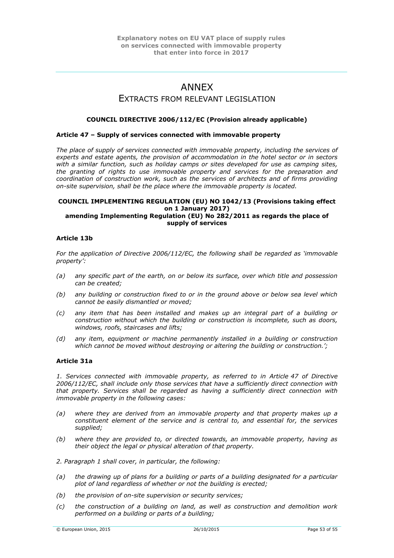# ANNEX

# EXTRACTS FROM RELEVANT LEGISLATION

# <span id="page-52-0"></span>**COUNCIL DIRECTIVE 2006/112/EC (Provision already applicable)**

### **Article 47 – Supply of services connected with immovable property**

The place of supply of services connected with immovable property, including the services of *experts and estate agents, the provision of accommodation in the hotel sector or in sectors with a similar function, such as holiday camps or sites developed for use as camping sites, the granting of rights to use immovable property and services for the preparation and coordination of construction work, such as the services of architects and of firms providing on-site supervision, shall be the place where the immovable property is located.* 

#### **COUNCIL IMPLEMENTING REGULATION (EU) NO 1042/13 (Provisions taking effect on 1 January 2017) amending Implementing Regulation (EU) No 282/2011 as regards the place of supply of services**

### **Article 13b**

*For the application of Directive 2006/112/EC, the following shall be regarded as 'immovable property':* 

- *(a) any specific part of the earth, on or below its surface, over which title and possession can be created;*
- *(b) any building or construction fixed to or in the ground above or below sea level which cannot be easily dismantled or moved;*
- *(c) any item that has been installed and makes up an integral part of a building or construction without which the building or construction is incomplete, such as doors, windows, roofs, staircases and lifts;*
- *(d) any item, equipment or machine permanently installed in a building or construction which cannot be moved without destroying or altering the building or construction.';*

## **Article 31a**

*1. Services connected with immovable property, as referred to in Article 47 of Directive 2006/112/EC, shall include only those services that have a sufficiently direct connection with that property. Services shall be regarded as having a sufficiently direct connection with immovable property in the following cases:* 

- *(a) where they are derived from an immovable property and that property makes up a constituent element of the service and is central to, and essential for, the services supplied;*
- *(b) where they are provided to, or directed towards, an immovable property, having as their object the legal or physical alteration of that property.*
- *2. Paragraph 1 shall cover, in particular, the following:*
- *(a) the drawing up of plans for a building or parts of a building designated for a particular plot of land regardless of whether or not the building is erected;*
- *(b) the provision of on-site supervision or security services;*
- *(c) the construction of a building on land, as well as construction and demolition work performed on a building or parts of a building;*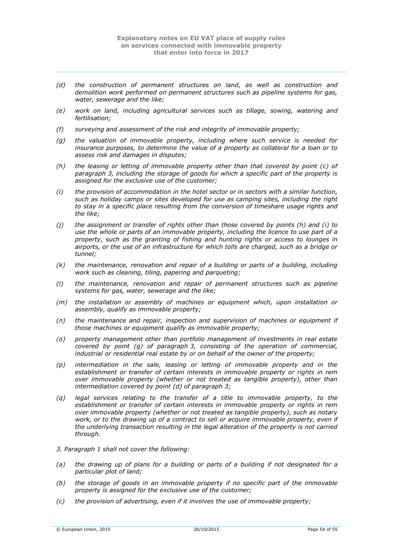- *(d) the construction of permanent structures on land, as well as construction and demolition work performed on permanent structures such as pipeline systems for gas, water, sewerage and the like;*
- *(e) work on land, including agricultural services such as tillage, sowing, watering and fertilisation;*
- *(f) surveying and assessment of the risk and integrity of immovable property;*
- *(g) the valuation of immovable property, including where such service is needed for insurance purposes, to determine the value of a property as collateral for a loan or to assess risk and damages in disputes;*
- *(h) the leasing or letting of immovable property other than that covered by point (c) of paragraph 3, including the storage of goods for which a specific part of the property is assigned for the exclusive use of the customer;*
- *(i) the provision of accommodation in the hotel sector or in sectors with a similar function, such as holiday camps or sites developed for use as camping sites, including the right to stay in a specific place resulting from the conversion of timeshare usage rights and the like;*
- *(j) the assignment or transfer of rights other than those covered by points (h) and (i) to use the whole or parts of an immovable property, including the licence to use part of a property, such as the granting of fishing and hunting rights or access to lounges in airports, or the use of an infrastructure for which tolls are charged, such as a bridge or tunnel;*
- *(k) the maintenance, renovation and repair of a building or parts of a building, including work such as cleaning, tiling, papering and parqueting;*
- *(l) the maintenance, renovation and repair of permanent structures such as pipeline systems for gas, water, sewerage and the like;*
- *(m) the installation or assembly of machines or equipment which, upon installation or assembly, qualify as immovable property;*
- *(n) the maintenance and repair, inspection and supervision of machines or equipment if those machines or equipment qualify as immovable property;*
- *(o) property management other than portfolio management of investments in real estate covered by point (g) of paragraph 3, consisting of the operation of commercial, industrial or residential real estate by or on behalf of the owner of the property;*
- *(p) intermediation in the sale, leasing or letting of immovable property and in the establishment or transfer of certain interests in immovable property or rights in rem over immovable property (whether or not treated as tangible property), other than intermediation covered by point (d) of paragraph 3;*
- *(q) legal services relating to the transfer of a title to immovable property, to the establishment or transfer of certain interests in immovable property or rights in rem over immovable property (whether or not treated as tangible property), such as notary*  work, or to the drawing up of a contract to sell or acquire immovable property, even if *the underlying transaction resulting in the legal alteration of the property is not carried through.*
- *3. Paragraph 1 shall not cover the following:*
- *(a) the drawing up of plans for a building or parts of a building if not designated for a particular plot of land;*
- *(b) the storage of goods in an immovable property if no specific part of the immovable property is assigned for the exclusive use of the customer;*
- *(c) the provision of advertising, even if it involves the use of immovable property;*